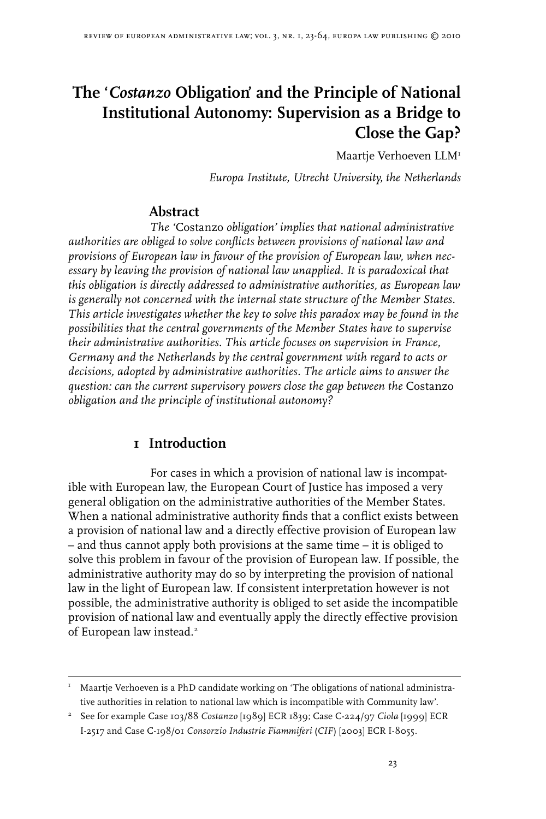# **The '***Costanzo* **Obligation' and the Principle of National Institutional Autonomy: Supervision as a Bridge to Close the Gap?**

Maartie Verhoeven LLM<sup>1</sup>

*Europa Institute, Utrecht University, the Netherlands*

# **Abstract**

*The '*Costanzo *obligation' implies that national administrative authorities are obliged to solve conflicts between provisions of national law and provisions of European law in favour of the provision of European law, when necessary by leaving the provision of national law unapplied. It is paradoxical that this obligation is directly addressed to administrative authorities, as European law is generally not concerned with the internal state structure of the Member States. This article investigates whether the key to solve this paradox may be found in the possibilities that the central governments of the Member States have to supervise their administrative authorities. This article focuses on supervision in France, Germany and the Netherlands by the central government with regard to acts or decisions, adopted by administrative authorities. The article aims to answer the question: can the current supervisory powers close the gap between the* Costanzo *obligation and the principle of institutional autonomy?*

# **1 Introduction**

For cases in which a provision of national law is incompatible with European law, the European Court of Justice has imposed a very general obligation on the administrative authorities of the Member States. When a national administrative authority finds that a conflict exists between a provision of national law and a directly effective provision of European law – and thus cannot apply both provisions at the same time – it is obliged to solve this problem in favour of the provision of European law. If possible, the administrative authority may do so by interpreting the provision of national law in the light of European law. If consistent interpretation however is not possible, the administrative authority is obliged to set aside the incompatible provision of national law and eventually apply the directly effective provision of European law instead.

 $N<sup>T</sup>$  Maartje Verhoeven is a PhD candidate working on 'The obligations of national administrative authorities in relation to national law which is incompatible with Community law'.

 See for example Case 103/88 *Costanzo* [1989] ECR 1839; Case C-224/97 *Ciola* [1999] ECR I-2517 and Case C-198/01 *Consorzio Industrie Fiammiferi* (*CIF*) [2003] ECR I-8055.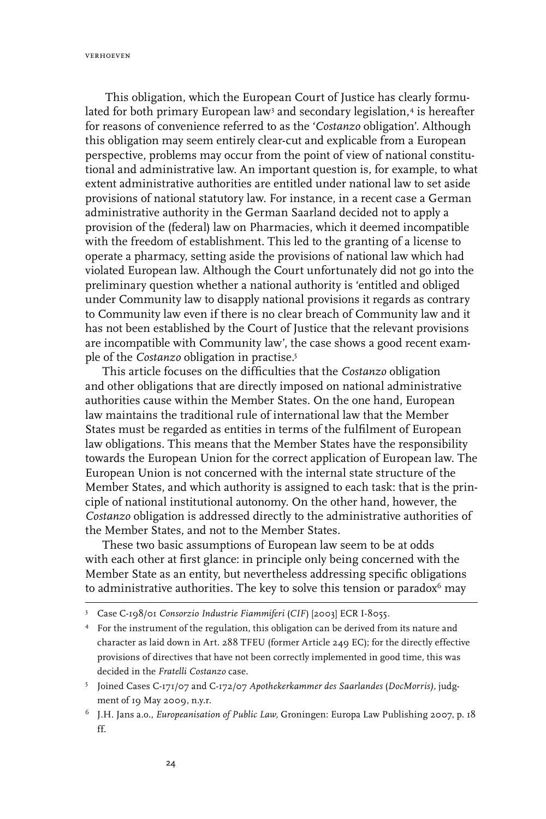verhoeven

 This obligation, which the European Court of Justice has clearly formulated for both primary European law<sup>3</sup> and secondary legislation,<sup>4</sup> is hereafter for reasons of convenience referred to as the '*Costanzo* obligation'. Although this obligation may seem entirely clear-cut and explicable from a European perspective, problems may occur from the point of view of national constitutional and administrative law. An important question is, for example, to what extent administrative authorities are entitled under national law to set aside provisions of national statutory law. For instance, in a recent case a German administrative authority in the German Saarland decided not to apply a provision of the (federal) law on Pharmacies, which it deemed incompatible with the freedom of establishment. This led to the granting of a license to operate a pharmacy, setting aside the provisions of national law which had violated European law. Although the Court unfortunately did not go into the preliminary question whether a national authority is 'entitled and obliged under Community law to disapply national provisions it regards as contrary to Community law even if there is no clear breach of Community law and it has not been established by the Court of Justice that the relevant provisions are incompatible with Community law', the case shows a good recent example of the *Costanzo* obligation in practise.

This article focuses on the difficulties that the *Costanzo* obligation and other obligations that are directly imposed on national administrative authorities cause within the Member States. On the one hand, European law maintains the traditional rule of international law that the Member States must be regarded as entities in terms of the fulfilment of European law obligations. This means that the Member States have the responsibility towards the European Union for the correct application of European law. The European Union is not concerned with the internal state structure of the Member States, and which authority is assigned to each task: that is the principle of national institutional autonomy. On the other hand, however, the *Costanzo* obligation is addressed directly to the administrative authorities of the Member States, and not to the Member States.

These two basic assumptions of European law seem to be at odds with each other at first glance: in principle only being concerned with the Member State as an entity, but nevertheless addressing specific obligations to administrative authorities. The key to solve this tension or paradox $6$  may

 For the instrument of the regulation, this obligation can be derived from its nature and character as laid down in Art. 288 TFEU (former Article 249 EC); for the directly effective provisions of directives that have not been correctly implemented in good time, this was decided in the *Fratelli Costanzo* case.

Case C-198/01 *Consorzio Industrie Fiammiferi* (*CIF*) [2003] ECR I-8055.

Joined Cases C‑171/07 and C‑172/07 *Apothekerkammer des Saarlandes* (*DocMorris),* judgment of 19 May 2009, n.y.r.

J.H. Jans a.o., *Europeanisation of Public Law,* Groningen: Europa Law Publishing 2007, p. 18 ff.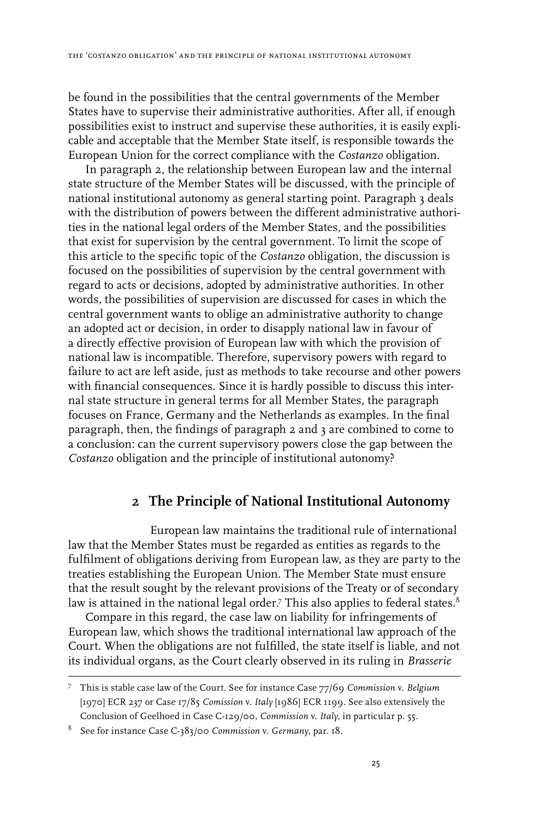be found in the possibilities that the central governments of the Member States have to supervise their administrative authorities. After all, if enough possibilities exist to instruct and supervise these authorities, it is easily explicable and acceptable that the Member State itself, is responsible towards the European Union for the correct compliance with the *Costanzo* obligation.

In paragraph 2, the relationship between European law and the internal state structure of the Member States will be discussed, with the principle of national institutional autonomy as general starting point. Paragraph 3 deals with the distribution of powers between the different administrative authorities in the national legal orders of the Member States, and the possibilities that exist for supervision by the central government. To limit the scope of this article to the specific topic of the *Costanzo* obligation, the discussion is focused on the possibilities of supervision by the central government with regard to acts or decisions, adopted by administrative authorities. In other words, the possibilities of supervision are discussed for cases in which the central government wants to oblige an administrative authority to change an adopted act or decision, in order to disapply national law in favour of a directly effective provision of European law with which the provision of national law is incompatible. Therefore, supervisory powers with regard to failure to act are left aside, just as methods to take recourse and other powers with financial consequences. Since it is hardly possible to discuss this internal state structure in general terms for all Member States, the paragraph focuses on France, Germany and the Netherlands as examples. In the final paragraph, then, the findings of paragraph 2 and 3 are combined to come to a conclusion: can the current supervisory powers close the gap between the *Costanzo* obligation and the principle of institutional autonomy?

# **2 The Principle of National Institutional Autonomy**

European law maintains the traditional rule of international law that the Member States must be regarded as entities as regards to the fulfilment of obligations deriving from European law, as they are party to the treaties establishing the European Union. The Member State must ensure that the result sought by the relevant provisions of the Treaty or of secondary law is attained in the national legal order.<sup>7</sup> This also applies to federal states.<sup>8</sup>

Compare in this regard, the case law on liability for infringements of European law, which shows the traditional international law approach of the Court. When the obligations are not fulfilled, the state itself is liable, and not its individual organs, as the Court clearly observed in its ruling in *Brasserie*

This is stable case law of the Court. See for instance Case 77/69 *Commission* v. *Belgium* [1970] ECR 237 or Case 17/85 *Comission* v. *Italy* [1986] ECR 1199. See also extensively the Conclusion of Geelhoed in Case C-129/00, *Commission* v. *Italy*, in particular p. 55.

See for instance Case C-383/00 *Commission* v. *Germany*, par. 18.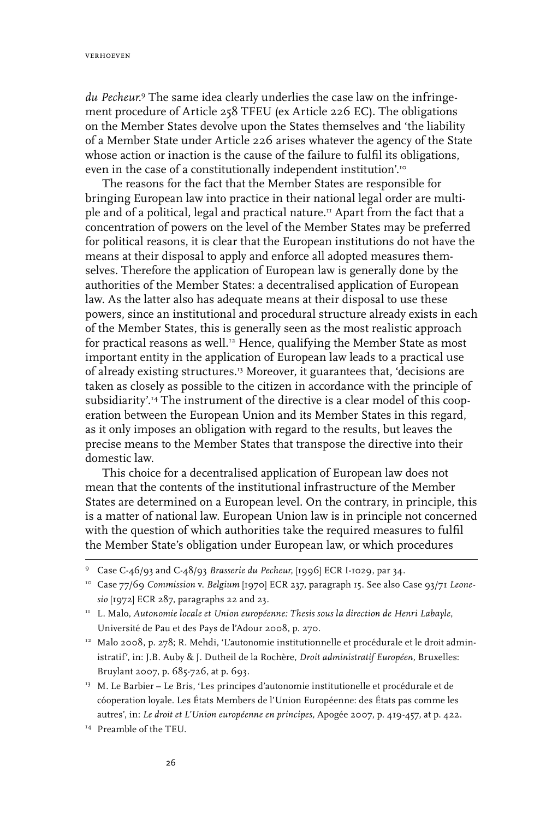*du Pecheur.* The same idea clearly underlies the case law on the infringement procedure of Article 258 TFEU (ex Article 226 EC). The obligations on the Member States devolve upon the States themselves and 'the liability of a Member State under Article 226 arises whatever the agency of the State whose action or inaction is the cause of the failure to fulfil its obligations, even in the case of a constitutionally independent institution'.<sup>10</sup>

The reasons for the fact that the Member States are responsible for bringing European law into practice in their national legal order are multiple and of a political, legal and practical nature.<sup>11</sup> Apart from the fact that a concentration of powers on the level of the Member States may be preferred for political reasons, it is clear that the European institutions do not have the means at their disposal to apply and enforce all adopted measures themselves. Therefore the application of European law is generally done by the authorities of the Member States: a decentralised application of European law. As the latter also has adequate means at their disposal to use these powers, since an institutional and procedural structure already exists in each of the Member States, this is generally seen as the most realistic approach for practical reasons as well.<sup>12</sup> Hence, qualifying the Member State as most important entity in the application of European law leads to a practical use of already existing structures.13 Moreover, it guarantees that, 'decisions are taken as closely as possible to the citizen in accordance with the principle of subsidiarity'.14 The instrument of the directive is a clear model of this cooperation between the European Union and its Member States in this regard, as it only imposes an obligation with regard to the results, but leaves the precise means to the Member States that transpose the directive into their domestic law.

This choice for a decentralised application of European law does not mean that the contents of the institutional infrastructure of the Member States are determined on a European level. On the contrary, in principle, this is a matter of national law. European Union law is in principle not concerned with the question of which authorities take the required measures to fulfil the Member State's obligation under European law, or which procedures

- <sup>12</sup> Malo 2008, p. 278; R. Mehdi, 'L'autonomie institutionnelle et procédurale et le droit administratif', in: J.B. Auby & J. Dutheil de la Rochère, *Droit administratif Européen,* Bruxelles: Bruylant 2007, p. 685-726, at p. 693.
- <sup>13</sup> M. Le Barbier Le Bris, 'Les principes d'autonomie institutionelle et procédurale et de cóoperation loyale. Les États Members de l'Union Européenne: des États pas comme les autres', in: *Le droit et L'Union européenne en principes,* Apogée 2007, p. 419-457, at p. 422.
- 14 Preamble of the TEU.

Case C-46/93 and C-48/93 *Brasserie du Pecheur*, [1996] ECR I-1029, par 34.

<sup>10</sup> Case 77/69 *Commission* v. *Belgium* [1970] ECR 237, paragraph 15. See also Case 93/71 *Leonesio* [1972] ECR 287, paragraphs 22 and 23.

<sup>&</sup>lt;sup>11</sup> L. Malo, *Autonomie locale et Union européenne: Thesis sous la direction de Henri Labayle,* Université de Pau et des Pays de l'Adour 2008, p. 270.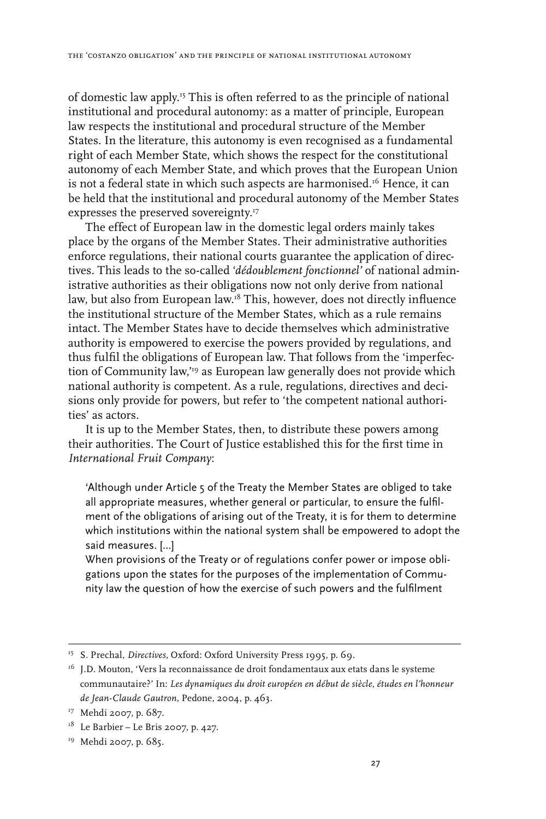of domestic law apply.15 This is often referred to as the principle of national institutional and procedural autonomy: as a matter of principle, European law respects the institutional and procedural structure of the Member States. In the literature, this autonomy is even recognised as a fundamental right of each Member State, which shows the respect for the constitutional autonomy of each Member State, and which proves that the European Union is not a federal state in which such aspects are harmonised.<sup>16</sup> Hence, it can be held that the institutional and procedural autonomy of the Member States expresses the preserved sovereignty.<sup>17</sup>

The effect of European law in the domestic legal orders mainly takes place by the organs of the Member States. Their administrative authorities enforce regulations, their national courts guarantee the application of directives. This leads to the so-called '*dédoublement fonctionnel'* of national administrative authorities as their obligations now not only derive from national law, but also from European law.18 This, however, does not directly influence the institutional structure of the Member States, which as a rule remains intact. The Member States have to decide themselves which administrative authority is empowered to exercise the powers provided by regulations, and thus fulfil the obligations of European law. That follows from the 'imperfection of Community law,"<sup>19</sup> as European law generally does not provide which national authority is competent. As a rule, regulations, directives and decisions only provide for powers, but refer to 'the competent national authorities' as actors.

It is up to the Member States, then, to distribute these powers among their authorities. The Court of Justice established this for the first time in *International Fruit Company*:

'Although under Article 5 of the Treaty the Member States are obliged to take all appropriate measures, whether general or particular, to ensure the fulfilment of the obligations of arising out of the Treaty, it is for them to determine which institutions within the national system shall be empowered to adopt the said measures. […]

When provisions of the Treaty or of regulations confer power or impose obligations upon the states for the purposes of the implementation of Community law the question of how the exercise of such powers and the fulfilment

<sup>15</sup> S. Prechal, *Directives,* Oxford: Oxford University Press 1995, p. 69.

<sup>&</sup>lt;sup>16</sup> J.D. Mouton, 'Vers la reconnaissance de droit fondamentaux aux etats dans le systeme communautaire?' In: *Les dynamiques du droit européen en début de siècle, études en l'honneur de Jean-Claude Gautron*, Pedone, 2004, p. 463.

<sup>&</sup>lt;sup>17</sup> Mehdi 2007, p. 687.

 $18$  Le Barbier – Le Bris 2007, p. 427.

<sup>&</sup>lt;sup>19</sup> Mehdi 2007, p. 685.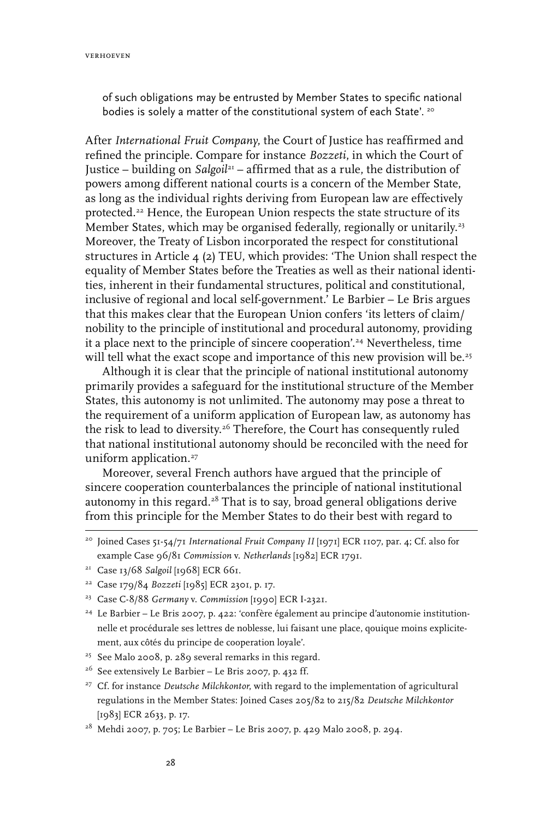verhoeven

of such obligations may be entrusted by Member States to specific national bodies is solely a matter of the constitutional system of each State'. 20

After *International Fruit Company*, the Court of Justice has reaffirmed and refined the principle. Compare for instance *Bozzeti*, in which the Court of Justice – building on *Salgoil*21 – affirmed that as a rule, the distribution of powers among different national courts is a concern of the Member State, as long as the individual rights deriving from European law are effectively protected.<sup>22</sup> Hence, the European Union respects the state structure of its Member States, which may be organised federally, regionally or unitarily.<sup>23</sup> Moreover, the Treaty of Lisbon incorporated the respect for constitutional structures in Article  $\mu$  (2) TEU, which provides: 'The Union shall respect the equality of Member States before the Treaties as well as their national identities, inherent in their fundamental structures, political and constitutional, inclusive of regional and local self-government.' Le Barbier – Le Bris argues that this makes clear that the European Union confers 'its letters of claim/ nobility to the principle of institutional and procedural autonomy, providing it a place next to the principle of sincere cooperation'.24 Nevertheless, time will tell what the exact scope and importance of this new provision will be.<sup>25</sup>

Although it is clear that the principle of national institutional autonomy primarily provides a safeguard for the institutional structure of the Member States, this autonomy is not unlimited. The autonomy may pose a threat to the requirement of a uniform application of European law, as autonomy has the risk to lead to diversity.26 Therefore, the Court has consequently ruled that national institutional autonomy should be reconciled with the need for uniform application.<sup>27</sup>

Moreover, several French authors have argued that the principle of sincere cooperation counterbalances the principle of national institutional autonomy in this regard. $28$  That is to say, broad general obligations derive from this principle for the Member States to do their best with regard to

- 25 See Malo 2008, p. 289 several remarks in this regard.
- <sup>26</sup> See extensively Le Barbier Le Bris 2007, p. 432 ff.
- <sup>27</sup> Cf. for instance *Deutsche Milchkontor*, with regard to the implementation of agricultural regulations in the Member States: Joined Cases 205/82 to 215/82 *Deutsche Milchkontor* [1983] ECR 2633, p. 17.
- $^{28}$  Mehdi 2007, p. 705; Le Barbier Le Bris 2007, p. 429 Malo 2008, p. 294.

<sup>&</sup>lt;sup>20</sup> Joined Cases 51-54/71 International Fruit Company II [1971] ECR 1107, par. 4; Cf. also for example Case 96/81 *Commission* v. *Netherlands* [1982] ECR 1791.

<sup>21</sup> Case 13/68 *Salgoil* [1968] ECR 661.

<sup>22</sup> Case 179/84 *Bozzeti* [1985] ECR 2301, p. 17.

<sup>23</sup> Case C-8/88 *Germany* v. *Commission* [1990] ECR I-2321.

<sup>&</sup>lt;sup>24</sup> Le Barbier - Le Bris 2007, p. 422: 'confère également au principe d'autonomie institutionnelle et procédurale ses lettres de noblesse, lui faisant une place, qouique moins explicitement, aux côtés du principe de cooperation loyale'.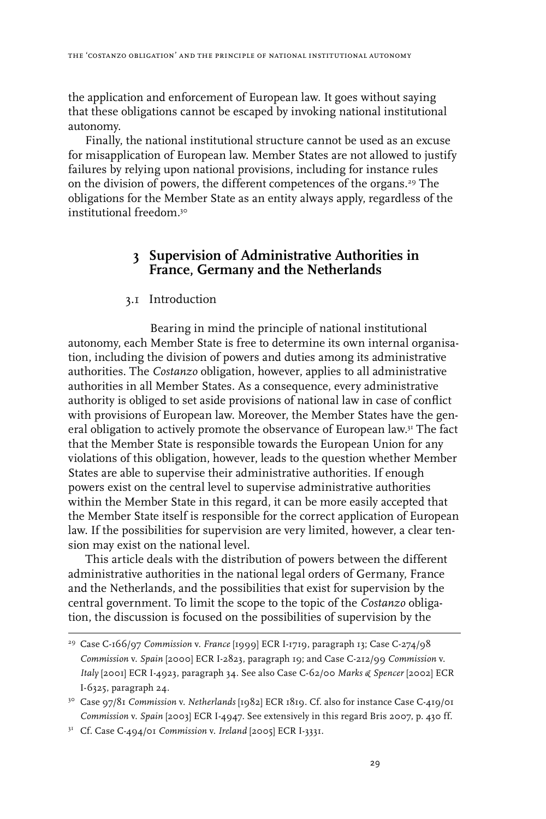the application and enforcement of European law. It goes without saying that these obligations cannot be escaped by invoking national institutional autonomy.

Finally, the national institutional structure cannot be used as an excuse for misapplication of European law. Member States are not allowed to justify failures by relying upon national provisions, including for instance rules on the division of powers, the different competences of the organs.<sup>29</sup> The obligations for the Member State as an entity always apply, regardless of the institutional freedom<sup>30</sup>

# **3 Supervision of Administrative Authorities in France, Germany and the Netherlands**

## 3.1 Introduction

Bearing in mind the principle of national institutional autonomy, each Member State is free to determine its own internal organisation, including the division of powers and duties among its administrative authorities. The *Costanzo* obligation, however, applies to all administrative authorities in all Member States. As a consequence, every administrative authority is obliged to set aside provisions of national law in case of conflict with provisions of European law. Moreover, the Member States have the general obligation to actively promote the observance of European law.31 The fact that the Member State is responsible towards the European Union for any violations of this obligation, however, leads to the question whether Member States are able to supervise their administrative authorities. If enough powers exist on the central level to supervise administrative authorities within the Member State in this regard, it can be more easily accepted that the Member State itself is responsible for the correct application of European law. If the possibilities for supervision are very limited, however, a clear tension may exist on the national level.

This article deals with the distribution of powers between the different administrative authorities in the national legal orders of Germany, France and the Netherlands, and the possibilities that exist for supervision by the central government. To limit the scope to the topic of the *Costanzo* obligation, the discussion is focused on the possibilities of supervision by the

<sup>29</sup> Case C-166/97 *Commission* v. *France* [1999] ECR I-1719, paragraph 13; Case C-274/98 *Commission* v. *Spain* [2000] ECR I-2823, paragraph 19; and Case C-212/99 *Commission* v. *Italy* [2001] ECR I-4923, paragraph 34. See also Case C-62/00 *Marks & Spencer* [2002] ECR I-6325, paragraph 24.

<sup>30</sup> Case 97/81 *Commission* v. *Netherlands* [1982] ECR 1819. Cf. also for instance Case C-419/01 *Commission* v. *Spain* [2003] ECR I-4947. See extensively in this regard Bris 2007, p. 430 ff.

<sup>31</sup> Cf. Case C-494/01 *Commission* v. *Ireland* [2005] ECR I-3331.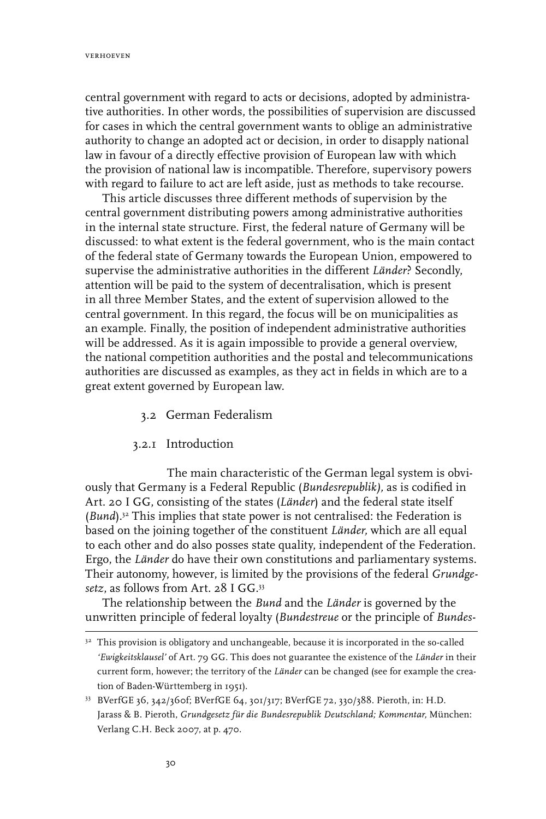central government with regard to acts or decisions, adopted by administrative authorities. In other words, the possibilities of supervision are discussed for cases in which the central government wants to oblige an administrative authority to change an adopted act or decision, in order to disapply national law in favour of a directly effective provision of European law with which the provision of national law is incompatible. Therefore, supervisory powers with regard to failure to act are left aside, just as methods to take recourse.

This article discusses three different methods of supervision by the central government distributing powers among administrative authorities in the internal state structure. First, the federal nature of Germany will be discussed: to what extent is the federal government, who is the main contact of the federal state of Germany towards the European Union, empowered to supervise the administrative authorities in the different *Länder*? Secondly, attention will be paid to the system of decentralisation, which is present in all three Member States, and the extent of supervision allowed to the central government. In this regard, the focus will be on municipalities as an example. Finally, the position of independent administrative authorities will be addressed. As it is again impossible to provide a general overview, the national competition authorities and the postal and telecommunications authorities are discussed as examples, as they act in fields in which are to a great extent governed by European law.

- 3.2 German Federalism
- 3.2.1 Introduction

The main characteristic of the German legal system is obviously that Germany is a Federal Republic (*Bundesrepublik),* as is codified in Art. 20 I GG, consisting of the states (*Länder*) and the federal state itself (*Bund*).32 This implies that state power is not centralised: the Federation is based on the joining together of the constituent *Länder,* which are all equal to each other and do also posses state quality, independent of the Federation. Ergo, the *Länder* do have their own constitutions and parliamentary systems. Their autonomy, however, is limited by the provisions of the federal *Grundgesetz*, as follows from Art. 28 I GG.33

The relationship between the *Bund* and the *Länder* is governed by the unwritten principle of federal loyalty (*Bundestreue* or the principle of *Bundes-*

<sup>&</sup>lt;sup>32</sup> This provision is obligatory and unchangeable, because it is incorporated in the so-called *'Ewigkeitsklausel'* of Art. 79 GG. This does not guarantee the existence of the *Länder* in their current form, however; the territory of the *Länder* can be changed (see for example the creation of Baden-Württemberg in 1951).

<sup>33</sup> BVerfGE 36, 342/360f; BVerfGE 64, 301/317; BVerfGE 72, 330/388. Pieroth, in: H.D. Jarass & B. Pieroth, *Grundgesetz für die Bundesrepublik Deutschland; Kommentar,* München: Verlang C.H. Beck 2007, at p. 470.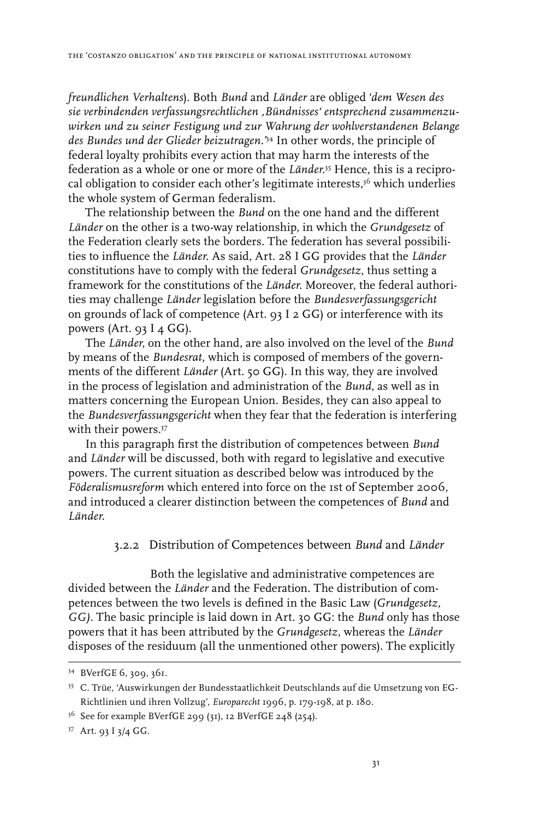*freundlichen Verhaltens*). Both *Bund* and *Länder* are obliged '*dem Wesen des sie verbindenden verfassungsrechtlichen 'Bündnisses' entsprechend zusammenzuwirken und zu seiner Festigung und zur Wahrung der wohlverstandenen Belange des Bundes und der Glieder beizutragen.'*34 In other words, the principle of federal loyalty prohibits every action that may harm the interests of the federation as a whole or one or more of the *Länder*. 35 Hence, this is a reciprocal obligation to consider each other's legitimate interests, $3<sup>6</sup>$  which underlies the whole system of German federalism.

The relationship between the *Bund* on the one hand and the different *Länder* on the other is a two-way relationship, in which the *Grundgesetz* of the Federation clearly sets the borders. The federation has several possibilities to influence the *Länder*. As said, Art. 28 I GG provides that the *Länder* constitutions have to comply with the federal *Grundgesetz*, thus setting a framework for the constitutions of the *Länder*. Moreover, the federal authorities may challenge *Länder* legislation before the *Bundesverfassungsgericht* on grounds of lack of competence (Art. 93 I 2 GG) or interference with its powers (Art.  $93$  I 4 GG).

The *Länder*, on the other hand, are also involved on the level of the *Bund* by means of the *Bundesrat*, which is composed of members of the governments of the different *Länder* (Art. 50 GG). In this way, they are involved in the process of legislation and administration of the *Bund*, as well as in matters concerning the European Union. Besides, they can also appeal to the *Bundesverfassungsgericht* when they fear that the federation is interfering with their powers.<sup>37</sup>

In this paragraph first the distribution of competences between *Bund* and *Länder* will be discussed, both with regard to legislative and executive powers. The current situation as described below was introduced by the *Föderalismusreform* which entered into force on the 1st of September 2006, and introduced a clearer distinction between the competences of *Bund* and *Länder*.

## 3.2.2 Distribution of Competences between *Bund* and *Länder*

Both the legislative and administrative competences are divided between the *Länder* and the Federation. The distribution of competences between the two levels is defined in the Basic Law (*Grundgesetz, GG).* The basic principle is laid down in Art. 30 GG: the *Bund* only has those powers that it has been attributed by the *Grundgesetz*, whereas the *Länder* disposes of the residuum (all the unmentioned other powers). The explicitly

<sup>34</sup> BVerfGE 6, 309, 361.

<sup>35</sup> C. Trüe, 'Auswirkungen der Bundesstaatlichkeit Deutschlands auf die Umsetzung von EG-Richtlinien und ihren Vollzug', *Europarecht* 1996, p. 179-198, at p. 180.

 $3^{6}$  See for example BVerfGE 299 (31), 12 BVerfGE 248 (254).

<sup>37</sup> Art. 93 I 3/4 GG.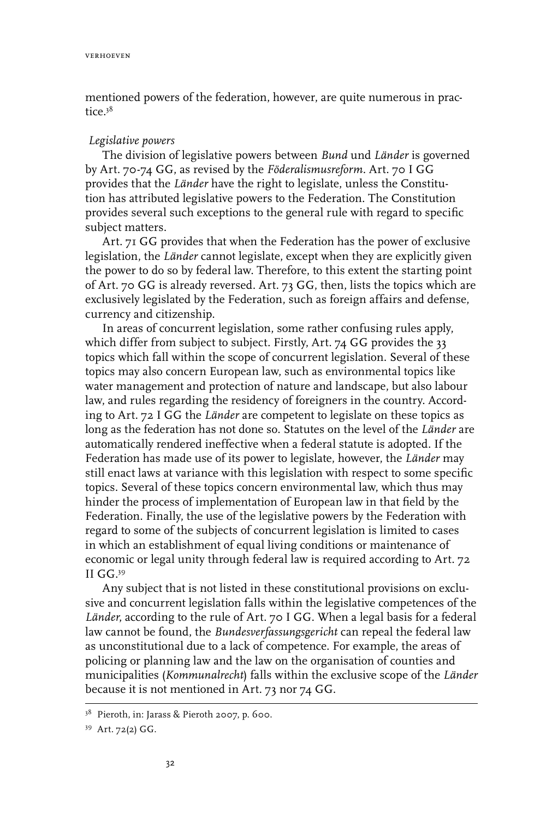mentioned powers of the federation, however, are quite numerous in practice  $3^8$ 

### *Legislative powers*

The division of legislative powers between *Bund* und *Länder* is governed by Art. 70-74 GG, as revised by the *Föderalismusreform.* Art. 70 I GG provides that the *Länder* have the right to legislate, unless the Constitution has attributed legislative powers to the Federation. The Constitution provides several such exceptions to the general rule with regard to specific subject matters.

Art. 71 GG provides that when the Federation has the power of exclusive legislation, the *Länder* cannot legislate, except when they are explicitly given the power to do so by federal law. Therefore, to this extent the starting point of Art. 70 GG is already reversed. Art. 73 GG, then, lists the topics which are exclusively legislated by the Federation, such as foreign affairs and defense, currency and citizenship.

In areas of concurrent legislation, some rather confusing rules apply, which differ from subject to subject. Firstly, Art. 74 GG provides the 33 topics which fall within the scope of concurrent legislation. Several of these topics may also concern European law, such as environmental topics like water management and protection of nature and landscape, but also labour law, and rules regarding the residency of foreigners in the country. According to Art. 72 I GG the *Länder* are competent to legislate on these topics as long as the federation has not done so. Statutes on the level of the *Länder* are automatically rendered ineffective when a federal statute is adopted. If the Federation has made use of its power to legislate, however, the *Länder* may still enact laws at variance with this legislation with respect to some specific topics. Several of these topics concern environmental law, which thus may hinder the process of implementation of European law in that field by the Federation. Finally, the use of the legislative powers by the Federation with regard to some of the subjects of concurrent legislation is limited to cases in which an establishment of equal living conditions or maintenance of economic or legal unity through federal law is required according to Art. 72 II GG.39

Any subject that is not listed in these constitutional provisions on exclusive and concurrent legislation falls within the legislative competences of the *Länder*, according to the rule of Art. 70 I GG. When a legal basis for a federal law cannot be found, the *Bundesverfassungsgericht* can repeal the federal law as unconstitutional due to a lack of competence. For example, the areas of policing or planning law and the law on the organisation of counties and municipalities (*Kommunalrecht*) falls within the exclusive scope of the *Länder* because it is not mentioned in Art. 73 nor 74 GG.

<sup>38</sup> Pieroth, in: Jarass & Pieroth 2007, p. 600.

<sup>39</sup> Art. 72(2) GG.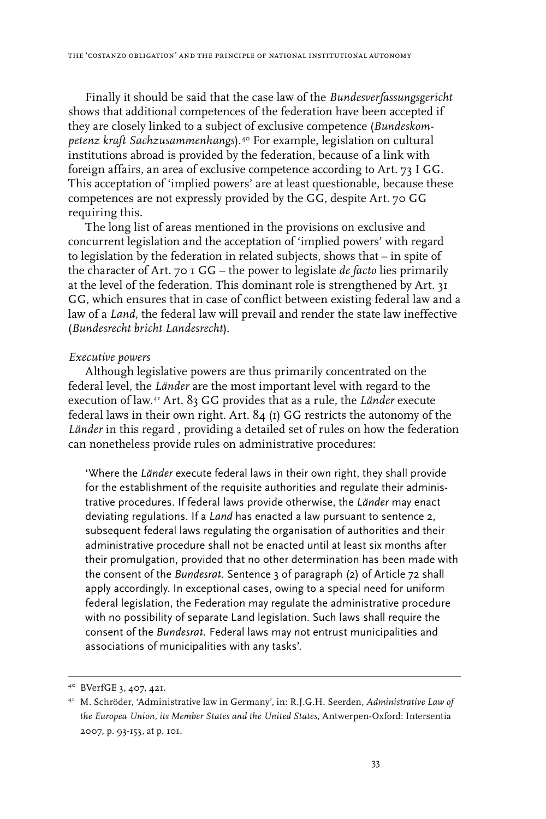Finally it should be said that the case law of the *Bundesverfassungsgericht* shows that additional competences of the federation have been accepted if they are closely linked to a subject of exclusive competence (*Bundeskompetenz kraft Sachzusammenhangs*).40 For example, legislation on cultural institutions abroad is provided by the federation, because of a link with foreign affairs, an area of exclusive competence according to Art. 73 I GG. This acceptation of 'implied powers' are at least questionable, because these competences are not expressly provided by the GG, despite Art. 70 GG requiring this.

The long list of areas mentioned in the provisions on exclusive and concurrent legislation and the acceptation of 'implied powers' with regard to legislation by the federation in related subjects, shows that – in spite of the character of Art. 70 1 GG – the power to legislate *de facto* lies primarily at the level of the federation. This dominant role is strengthened by Art. 31 GG, which ensures that in case of conflict between existing federal law and a law of a *Land*, the federal law will prevail and render the state law ineffective (*Bundesrecht bricht Landesrecht*).

#### *Executive powers*

Although legislative powers are thus primarily concentrated on the federal level, the *Länder* are the most important level with regard to the execution of law.41 Art. 83 GG provides that as a rule, the *Länder* execute federal laws in their own right. Art. 84 (1) GG restricts the autonomy of the Länder in this regard, providing a detailed set of rules on how the federation can nonetheless provide rules on administrative procedures:

'Where the *Länder* execute federal laws in their own right, they shall provide for the establishment of the requisite authorities and regulate their administrative procedures. If federal laws provide otherwise, the *Länder* may enact deviating regulations. If a *Land* has enacted a law pursuant to sentence 2, subsequent federal laws regulating the organisation of authorities and their administrative procedure shall not be enacted until at least six months after their promulgation, provided that no other determination has been made with the consent of the *Bundesrat*. Sentence 3 of paragraph (2) of Article 72 shall apply accordingly. In exceptional cases, owing to a special need for uniform federal legislation, the Federation may regulate the administrative procedure with no possibility of separate Land legislation. Such laws shall require the consent of the *Bundesrat.* Federal laws may not entrust municipalities and associations of municipalities with any tasks'.

<sup>40</sup> BVerfGE 3, 407, 421.

<sup>41</sup> M. Schröder, 'Administrative law in Germany', in: R.J.G.H. Seerden, *Administrative Law of the Europea Union, its Member States and the United States,* Antwerpen-Oxford: Intersentia 2007, p. 93-153, at p. 101.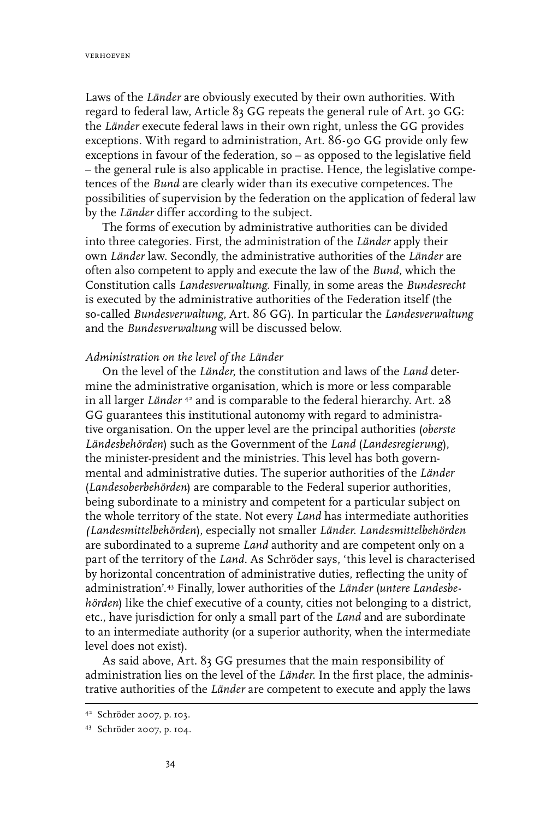Laws of the *Länder* are obviously executed by their own authorities. With regard to federal law, Article 83 GG repeats the general rule of Art. 30 GG: the *Länder* execute federal laws in their own right, unless the GG provides exceptions. With regard to administration, Art. 86-90 GG provide only few exceptions in favour of the federation, so – as opposed to the legislative field – the general rule is also applicable in practise. Hence, the legislative competences of the *Bund* are clearly wider than its executive competences. The possibilities of supervision by the federation on the application of federal law by the *Länder* differ according to the subject.

The forms of execution by administrative authorities can be divided into three categories. First, the administration of the *Länder* apply their own *Länder* law. Secondly, the administrative authorities of the *Länder* are often also competent to apply and execute the law of the *Bund*, which the Constitution calls *Landesverwaltung*. Finally, in some areas the *Bundesrecht* is executed by the administrative authorities of the Federation itself (the so-called *Bundesverwaltung*, Art. 86 GG). In particular the *Landesverwaltung* and the *Bundesverwaltung* will be discussed below.

#### *Administration on the level of the Länder*

On the level of the *Länder*, the constitution and laws of the *Land* determine the administrative organisation, which is more or less comparable in all larger *Länder* 42 and is comparable to the federal hierarchy. Art. 28 GG guarantees this institutional autonomy with regard to administrative organisation. On the upper level are the principal authorities (*oberste Ländesbehörden*) such as the Government of the *Land* (*Landesregierung*), the minister-president and the ministries. This level has both governmental and administrative duties. The superior authorities of the *Länder* (*Landesoberbehörden*) are comparable to the Federal superior authorities, being subordinate to a ministry and competent for a particular subject on the whole territory of the state. Not every *Land* has intermediate authorities *(Landesmittelbehörden*), especially not smaller *Länder*. *Landesmittelbehörden* are subordinated to a supreme *Land* authority and are competent only on a part of the territory of the *Land*. As Schröder says, 'this level is characterised by horizontal concentration of administrative duties, reflecting the unity of administration'.43 Finally, lower authorities of the *Länder* (*untere Landesbehörden*) like the chief executive of a county, cities not belonging to a district, etc., have jurisdiction for only a small part of the *Land* and are subordinate to an intermediate authority (or a superior authority, when the intermediate level does not exist).

As said above, Art. 83 GG presumes that the main responsibility of administration lies on the level of the *Länder*. In the first place, the administrative authorities of the *Länder* are competent to execute and apply the laws

<sup>42</sup> Schröder 2007, p. 103.

<sup>43</sup> Schröder 2007, p. 104.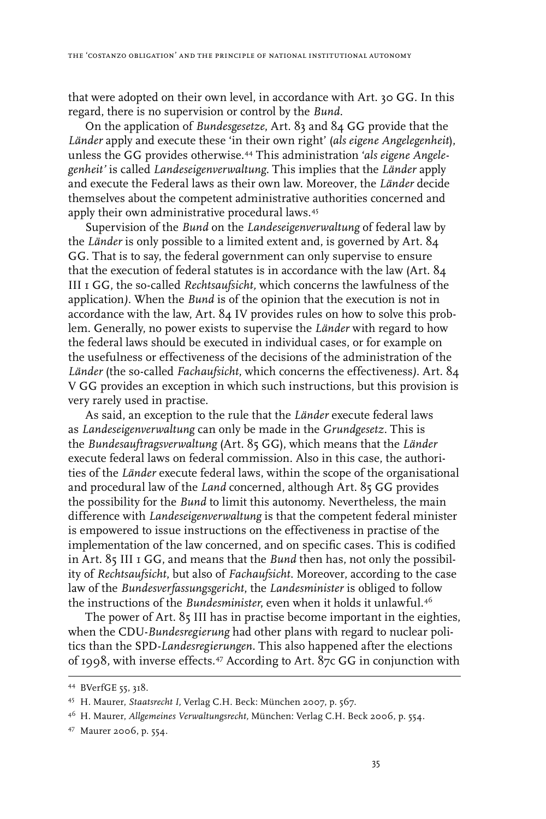that were adopted on their own level, in accordance with Art. 30 GG. In this regard, there is no supervision or control by the *Bund*.

On the application of *Bundesgesetze*, Art. 83 and 84 GG provide that the *Länder* apply and execute these 'in their own right' (*als eigene Angelegenheit*), unless the GG provides otherwise.44 This administration '*als eigene Angelegenheit'* is called *Landeseigenverwaltung*. This implies that the *Länder* apply and execute the Federal laws as their own law. Moreover, the *Länder* decide themselves about the competent administrative authorities concerned and apply their own administrative procedural laws.<sup>45</sup>

Supervision of the *Bund* on the *Landeseigenverwaltung* of federal law by the *Länder* is only possible to a limited extent and, is governed by Art. 84 GG. That is to say, the federal government can only supervise to ensure that the execution of federal statutes is in accordance with the law (Art. 84 III 1 GG, the so-called *Rechtsaufsicht,* which concerns the lawfulness of the application*).* When the *Bund* is of the opinion that the execution is not in accordance with the law, Art. 84 IV provides rules on how to solve this problem. Generally, no power exists to supervise the *Länder* with regard to how the federal laws should be executed in individual cases, or for example on the usefulness or effectiveness of the decisions of the administration of the *Länder* (the so-called *Fachaufsicht*, which concerns the effectiveness*)*. Art. 84 V GG provides an exception in which such instructions, but this provision is very rarely used in practise.

As said, an exception to the rule that the *Länder* execute federal laws as *Landeseigenverwaltung* can only be made in the *Grundgesetz*. This is the *Bundesauftragsverwaltung* (Art. 85 GG), which means that the *Länder* execute federal laws on federal commission. Also in this case, the authorities of the *Länder* execute federal laws, within the scope of the organisational and procedural law of the *Land* concerned, although Art. 85 GG provides the possibility for the *Bund* to limit this autonomy. Nevertheless, the main difference with *Landeseigenverwaltung* is that the competent federal minister is empowered to issue instructions on the effectiveness in practise of the implementation of the law concerned, and on specific cases. This is codified in Art. 85 III 1 GG, and means that the *Bund* then has, not only the possibility of *Rechtsaufsicht*, but also of *Fachaufsicht*. Moreover, according to the case law of the *Bundesverfassungsgericht*, the *Landesminister* is obliged to follow the instructions of the *Bundesminister*, even when it holds it unlawful.46

The power of Art. 85 III has in practise become important in the eighties, when the CDU-*Bundesregierung* had other plans with regard to nuclear politics than the SPD-*Landesregierungen*. This also happened after the elections of 1998, with inverse effects.47 According to Art. 87c GG in conjunction with

<sup>44</sup> BVerfGE 55, 318.

<sup>45</sup> H. Maurer, *Staatsrecht I,* Verlag C.H. Beck: München 2007, p. 567.

<sup>46</sup> H. Maurer, *Allgemeines Verwaltungsrecht,* München: Verlag C.H. Beck 2006, p. 554.

<sup>47</sup> Maurer 2006, p. 554.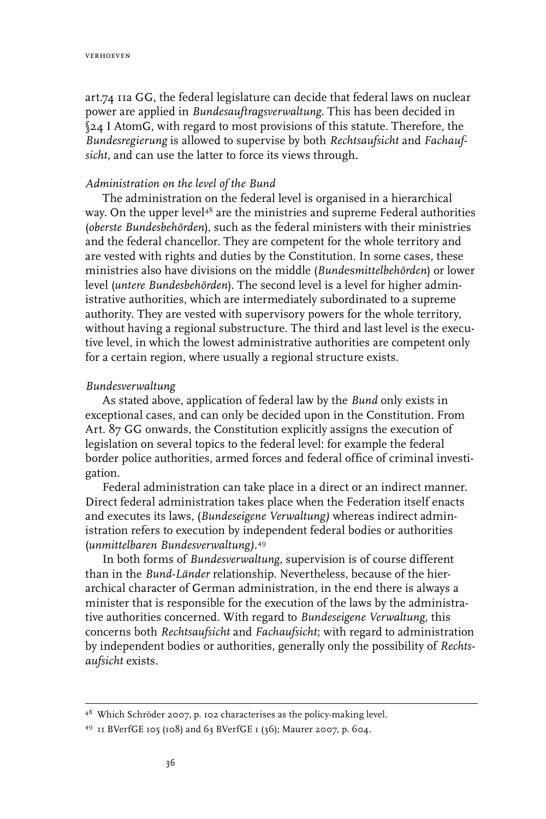art.74 11a GG, the federal legislature can decide that federal laws on nuclear power are applied in *Bundesauftragsverwaltung*. This has been decided in §24 I AtomG, with regard to most provisions of this statute. Therefore, the *Bundesregierung* is allowed to supervise by both *Rechtsaufsicht* and *Fachaufsicht*, and can use the latter to force its views through.

#### *Administration on the level of the Bund*

The administration on the federal level is organised in a hierarchical way. On the upper level<sup>48</sup> are the ministries and supreme Federal authorities (*oberste Bundesbehörden*), such as the federal ministers with their ministries and the federal chancellor. They are competent for the whole territory and are vested with rights and duties by the Constitution. In some cases, these ministries also have divisions on the middle (*Bund*es*mittelbehörden*) or lower level (*untere Bundesbehörden*). The second level is a level for higher administrative authorities, which are intermediately subordinated to a supreme authority. They are vested with supervisory powers for the whole territory, without having a regional substructure. The third and last level is the executive level, in which the lowest administrative authorities are competent only for a certain region, where usually a regional structure exists.

#### *Bundesverwaltung*

As stated above, application of federal law by the *Bund* only exists in exceptional cases, and can only be decided upon in the Constitution. From Art. 87 GG onwards, the Constitution explicitly assigns the execution of legislation on several topics to the federal level: for example the federal border police authorities, armed forces and federal office of criminal investigation.

Federal administration can take place in a direct or an indirect manner. Direct federal administration takes place when the Federation itself enacts and executes its laws, (*Bundeseigene Verwaltung)* whereas indirect administration refers to execution by independent federal bodies or authorities (*unmittelbaren Bundesverwaltung).*<sup>49</sup>

In both forms of *Bundesverwaltung*, supervision is of course different than in the *Bund*-*Länder* relationship. Nevertheless, because of the hierarchical character of German administration, in the end there is always a minister that is responsible for the execution of the laws by the administrative authorities concerned. With regard to *Bundeseigene Verwaltung*, this concerns both *Rechtsaufsicht* and *Fachaufsicht*; with regard to administration by independent bodies or authorities, generally only the possibility of *Rechtsaufsicht* exists.

<sup>48</sup> Which Schröder 2007, p. 102 characterises as the policy-making level.

<sup>49 11</sup> BVerfGE 105 (108) and 63 BVerfGE 1 (36); Maurer 2007, p. 604.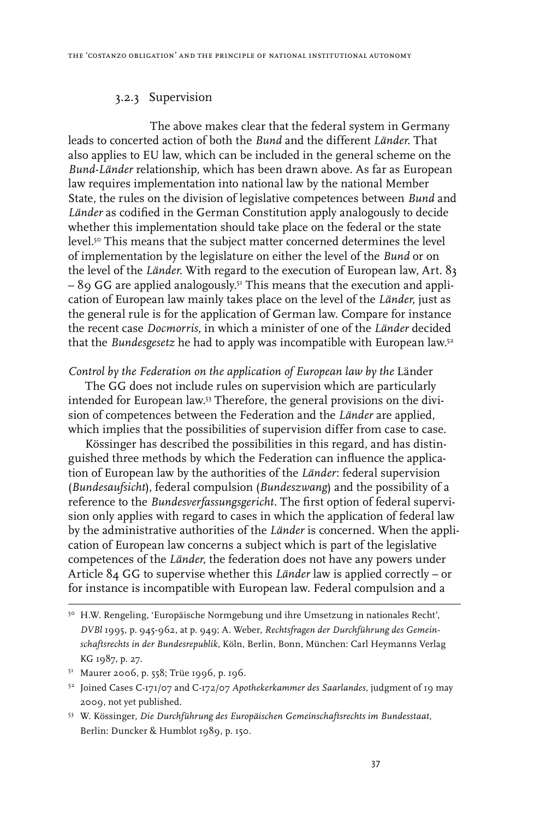# 3.2.3 Supervision

The above makes clear that the federal system in Germany leads to concerted action of both the *Bund* and the different *Länder*. That also applies to EU law, which can be included in the general scheme on the *Bund*-*Länder* relationship, which has been drawn above. As far as European law requires implementation into national law by the national Member State, the rules on the division of legislative competences between *Bund* and *Länder* as codified in the German Constitution apply analogously to decide whether this implementation should take place on the federal or the state level.<sup>50</sup> This means that the subject matter concerned determines the level of implementation by the legislature on either the level of the *Bund* or on the level of the *Länder*. With regard to the execution of European law, Art. 83 – 89 GG are applied analogously.51 This means that the execution and application of European law mainly takes place on the level of the *Länder*, just as the general rule is for the application of German law. Compare for instance the recent case *Docmorris*, in which a minister of one of the *Länder* decided that the *Bundesgesetz* he had to apply was incompatible with European law.52

*Control by the Federation on the application of European law by the* Länder

The GG does not include rules on supervision which are particularly intended for European law.53 Therefore, the general provisions on the division of competences between the Federation and the *Länder* are applied, which implies that the possibilities of supervision differ from case to case.

Kössinger has described the possibilities in this regard, and has distinguished three methods by which the Federation can influence the application of European law by the authorities of the *Länder*: federal supervision (*Bundesaufsicht*), federal compulsion (*Bundeszwang*) and the possibility of a reference to the *Bundesverfassungsgericht.* The first option of federal supervision only applies with regard to cases in which the application of federal law by the administrative authorities of the *Länder* is concerned. When the application of European law concerns a subject which is part of the legislative competences of the *Länder*, the federation does not have any powers under Article 84 GG to supervise whether this *Länder* law is applied correctly – or for instance is incompatible with European law. Federal compulsion and a

<sup>50</sup> H.W. Rengeling, 'Europäische Normgebung und ihre Umsetzung in nationales Recht', *DVBl* 1995, p. 945-962, at p. 949; A. Weber, *Rechtsfragen der Durchführung des Gemeinschaftsrechts in der Bundesrepublik,* Köln, Berlin, Bonn, München: Carl Heymanns Verlag KG 1987, p. 27.

<sup>51</sup> Maurer 2006, p. 558; Trüe 1996, p. 196.

<sup>52</sup> Joined Cases C‑171/07 and C‑172/07 *Apothekerkammer des Saarlandes*, judgment of 19 may 2009, not yet published.

<sup>53</sup> W. Kössinger, *Die Durchführung des Europäischen Gemeinschaftsrechts im Bundesstaat*, Berlin: Duncker & Humblot 1989, p. 150.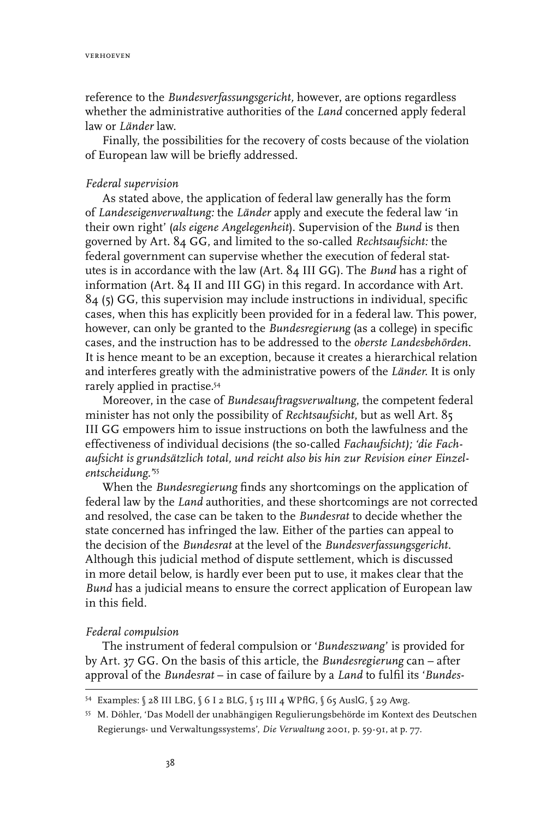reference to the *Bundesverfassungsgericht,* however, are options regardless whether the administrative authorities of the *Land* concerned apply federal law or *Länder* law.

Finally, the possibilities for the recovery of costs because of the violation of European law will be briefly addressed.

#### *Federal supervision*

As stated above, the application of federal law generally has the form of *Landeseigenverwaltung:* the *Länder* apply and execute the federal law 'in their own right' (*als eigene Angelegenheit*). Supervision of the *Bund* is then governed by Art. 84 GG, and limited to the so-called *Rechtsaufsicht:* the federal government can supervise whether the execution of federal statutes is in accordance with the law (Art. 84 III GG). The *Bund* has a right of information (Art. 84 II and III GG) in this regard. In accordance with Art. 84 (5) GG, this supervision may include instructions in individual, specific cases, when this has explicitly been provided for in a federal law. This power, however, can only be granted to the *Bundesregierung* (as a college) in specific cases, and the instruction has to be addressed to the *oberste Landesbehörden*. It is hence meant to be an exception, because it creates a hierarchical relation and interferes greatly with the administrative powers of the *Länder*. It is only rarely applied in practise.54

Moreover, in the case of *Bundesauftragsverwaltung*, the competent federal minister has not only the possibility of *Rechtsaufsicht*, but as well Art. 85 III GG empowers him to issue instructions on both the lawfulness and the effectiveness of individual decisions (the so-called *Fachaufsicht); 'die Fachaufsicht is grundsätzlich total, und reicht also bis hin zur Revision einer Einzelentscheidung.'*<sup>55</sup>

When the *Bundesregierung* finds any shortcomings on the application of federal law by the *Land* authorities, and these shortcomings are not corrected and resolved, the case can be taken to the *Bund*e*srat* to decide whether the state concerned has infringed the law. Either of the parties can appeal to the decision of the *Bundesrat* at the level of the *Bundesverfassungsgericht*. Although this judicial method of dispute settlement, which is discussed in more detail below, is hardly ever been put to use, it makes clear that the *Bund* has a judicial means to ensure the correct application of European law in this field.

#### *Federal compulsion*

The instrument of federal compulsion or '*Bundeszwang*' is provided for by Art. 37 GG. On the basis of this article, the *Bundesregierung* can – after approval of the *Bund*e*srat* – in case of failure by a *Land* to fulfil its '*Bundes-*

<sup>54</sup> Examples: § 28 III LBG, § 6 I 2 BLG, § 15 III 4 WPflG, § 65 AuslG, § 29 Awg.

<sup>55</sup> M. Döhler, 'Das Modell der unabhängigen Regulierungsbehörde im Kontext des Deutschen Regierungs- und Verwaltungssystems', *Die Verwaltung* 2001, p. 59-91, at p. 77.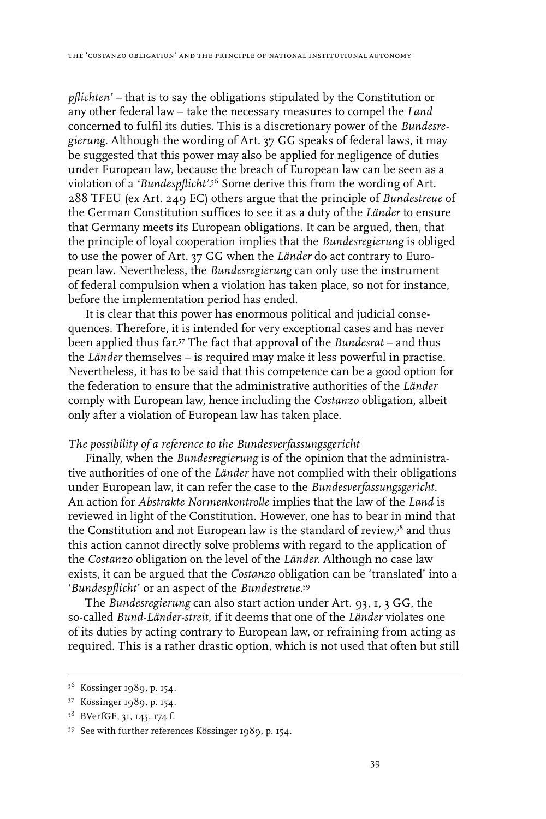*pflichten' –* that is to say the obligations stipulated by the Constitution or any other federal law – take the necessary measures to compel the *Land* concerned to fulfil its duties. This is a discretionary power of the *Bundesregierung.* Although the wording of Art. 37 GG speaks of federal laws, it may be suggested that this power may also be applied for negligence of duties under European law, because the breach of European law can be seen as a violation of a *'Bundespflicht'*. 56 Some derive this from the wording of Art. 288 TFEU (ex Art. 249 EC) others argue that the principle of *Bundestreue* of the German Constitution suffices to see it as a duty of the *Länder* to ensure that Germany meets its European obligations. It can be argued, then, that the principle of loyal cooperation implies that the *Bundesregierung* is obliged to use the power of Art. 37 GG when the *Länder* do act contrary to European law. Nevertheless, the *Bundesregierung* can only use the instrument of federal compulsion when a violation has taken place, so not for instance, before the implementation period has ended.

It is clear that this power has enormous political and judicial consequences. Therefore, it is intended for very exceptional cases and has never been applied thus far.57 The fact that approval of the *Bundesrat –* and thus the *Länder* themselves – is required may make it less powerful in practise. Nevertheless, it has to be said that this competence can be a good option for the federation to ensure that the administrative authorities of the *Länder* comply with European law, hence including the *Costanzo* obligation, albeit only after a violation of European law has taken place.

# *The possibility of a reference to the Bundesverfassungsgericht*

Finally, when the *Bundesregierung* is of the opinion that the administrative authorities of one of the *Länder* have not complied with their obligations under European law, it can refer the case to the *Bundesverfassungsgericht*. An action for *Abstrakte Normenkontrolle* implies that the law of the *Land* is reviewed in light of the Constitution. However, one has to bear in mind that the Constitution and not European law is the standard of review,<sup>58</sup> and thus this action cannot directly solve problems with regard to the application of the *Costanzo* obligation on the level of the *Länder*. Although no case law exists, it can be argued that the *Costanzo* obligation can be 'translated' into a '*Bundespflicht*' or an aspect of the *Bundestreue*. 59

The *Bundesregierung* can also start action under Art. 93, 1, 3 GG, the so-called *Bund*-*Länder-streit*, if it deems that one of the *Länder* violates one of its duties by acting contrary to European law, or refraining from acting as required. This is a rather drastic option, which is not used that often but still

<sup>56</sup> Kössinger 1989, p. 154.

<sup>57</sup> Kössinger 1989, p. 154.

<sup>58</sup> BVerfGE, 31, 145, 174 f.

<sup>59</sup> See with further references Kössinger 1989, p. 154.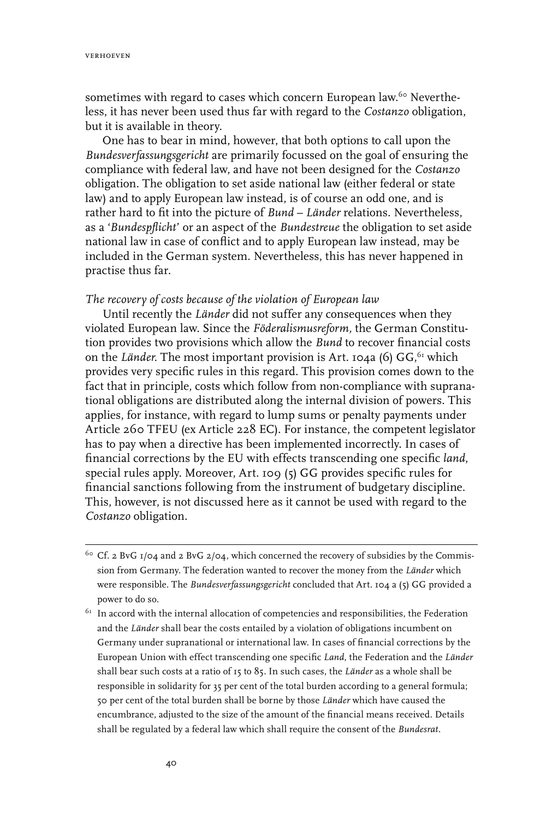verhoeven

sometimes with regard to cases which concern European law.<sup>60</sup> Nevertheless, it has never been used thus far with regard to the *Costanzo* obligation, but it is available in theory.

One has to bear in mind, however, that both options to call upon the *Bundesverfassungsgericht* are primarily focussed on the goal of ensuring the compliance with federal law, and have not been designed for the *Costanzo* obligation. The obligation to set aside national law (either federal or state law) and to apply European law instead, is of course an odd one, and is rather hard to fit into the picture of *Bund* – *Länder* relations. Nevertheless, as a '*Bundespflicht*' or an aspect of the *Bundestreue* the obligation to set aside national law in case of conflict and to apply European law instead, may be included in the German system. Nevertheless, this has never happened in practise thus far.

#### *The recovery of costs because of the violation of European law*

Until recently the *Länder* did not suffer any consequences when they violated European law. Since the *Föderalismusreform,* the German Constitution provides two provisions which allow the *Bund* to recover financial costs on the *Länder*. The most important provision is Art. 104a (6) GG, <sup>61</sup> which provides very specific rules in this regard. This provision comes down to the fact that in principle, costs which follow from non-compliance with supranational obligations are distributed along the internal division of powers. This applies, for instance, with regard to lump sums or penalty payments under Article 260 TFEU (ex Article 228 EC). For instance, the competent legislator has to pay when a directive has been implemented incorrectly. In cases of financial corrections by the EU with effects transcending one specific *land*, special rules apply. Moreover, Art. 109 (5) GG provides specific rules for financial sanctions following from the instrument of budgetary discipline. This, however, is not discussed here as it cannot be used with regard to the *Costanzo* obligation.

<sup>&</sup>lt;sup>60</sup> Cf. 2 BvG  $1/\text{o}$ 4 and 2 BvG  $2/\text{o}$ 4, which concerned the recovery of subsidies by the Commission from Germany. The federation wanted to recover the money from the *Länder* which were responsible. The *Bundesverfassungsgericht* concluded that Art. 104 a (5) GG provided a power to do so.

 $\rm ^{61}$  In accord with the internal allocation of competencies and responsibilities, the Federation and the *Länder* shall bear the costs entailed by a violation of obligations incumbent on Germany under supranational or international law. In cases of financial corrections by the European Union with effect transcending one specific *Land*, the Federation and the *Länder*  shall bear such costs at a ratio of 15 to 85. In such cases, the *Länder* as a whole shall be responsible in solidarity for 35 per cent of the total burden according to a general formula; 50 per cent of the total burden shall be borne by those *Länder* which have caused the encumbrance, adjusted to the size of the amount of the financial means received. Details shall be regulated by a federal law which shall require the consent of the *Bundesrat.*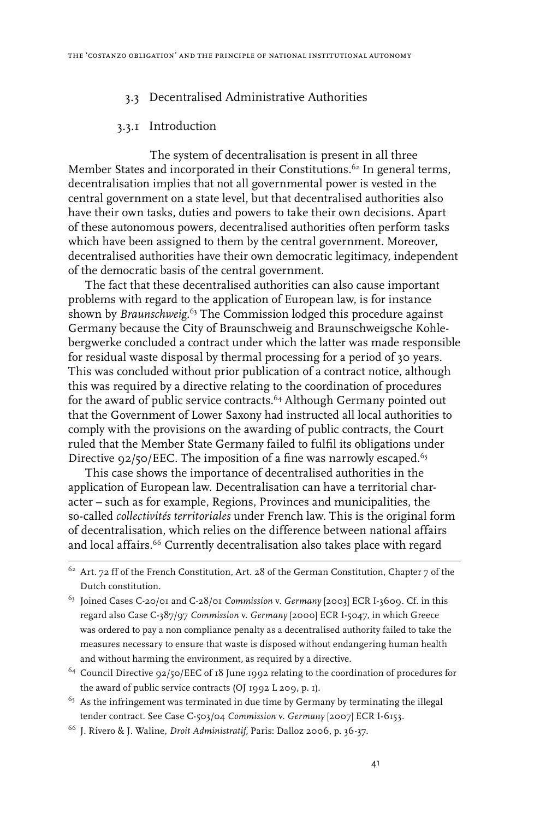# 3.3 Decentralised Administrative Authorities

# 3.3.1 Introduction

The system of decentralisation is present in all three Member States and incorporated in their Constitutions.<sup>62</sup> In general terms, decentralisation implies that not all governmental power is vested in the central government on a state level, but that decentralised authorities also have their own tasks, duties and powers to take their own decisions. Apart of these autonomous powers, decentralised authorities often perform tasks which have been assigned to them by the central government. Moreover, decentralised authorities have their own democratic legitimacy, independent of the democratic basis of the central government.

The fact that these decentralised authorities can also cause important problems with regard to the application of European law, is for instance shown by *Braunschweig*. 63 The Commission lodged this procedure against Germany because the City of Braunschweig and Braunschweigsche Kohlebergwerke concluded a contract under which the latter was made responsible for residual waste disposal by thermal processing for a period of 30 years. This was concluded without prior publication of a contract notice, although this was required by a directive relating to the coordination of procedures for the award of public service contracts.64 Although Germany pointed out that the Government of Lower Saxony had instructed all local authorities to comply with the provisions on the awarding of public contracts, the Court ruled that the Member State Germany failed to fulfil its obligations under Directive  $92/50/EEC$ . The imposition of a fine was narrowly escaped.<sup>65</sup>

This case shows the importance of decentralised authorities in the application of European law. Decentralisation can have a territorial character – such as for example, Regions, Provinces and municipalities, the so-called *collectivités territoriales* under French law. This is the original form of decentralisation, which relies on the difference between national affairs and local affairs.<sup>66</sup> Currently decentralisation also takes place with regard

 $65$  As the infringement was terminated in due time by Germany by terminating the illegal tender contract. See Case C-503/04 *Commission* v. *Germany* [2007] ECR I-6153.

<sup>&</sup>lt;sup>62</sup> Art. 72 ff of the French Constitution, Art. 28 of the German Constitution, Chapter 7 of the Dutch constitution.

<sup>63</sup> Joined Cases C-20/01 and C-28/01 *Commission* v. *Germany* [2003] ECR I-3609. Cf. in this regard also Case C-387/97 *Commission* v. *Germany* [2000] ECR I-5047, in which Greece was ordered to pay a non compliance penalty as a decentralised authority failed to take the measures necessary to ensure that waste is disposed without endangering human health and without harming the environment, as required by a directive.

<sup>&</sup>lt;sup>64</sup> Council Directive 92/50/EEC of 18 June 1992 relating to the coordination of procedures for the award of public service contracts (OJ 1992 L 209, p. 1).

<sup>66</sup> J. Rivero & J. Waline, *Droit Administratif,* Paris: Dalloz 2006, p. 36-37.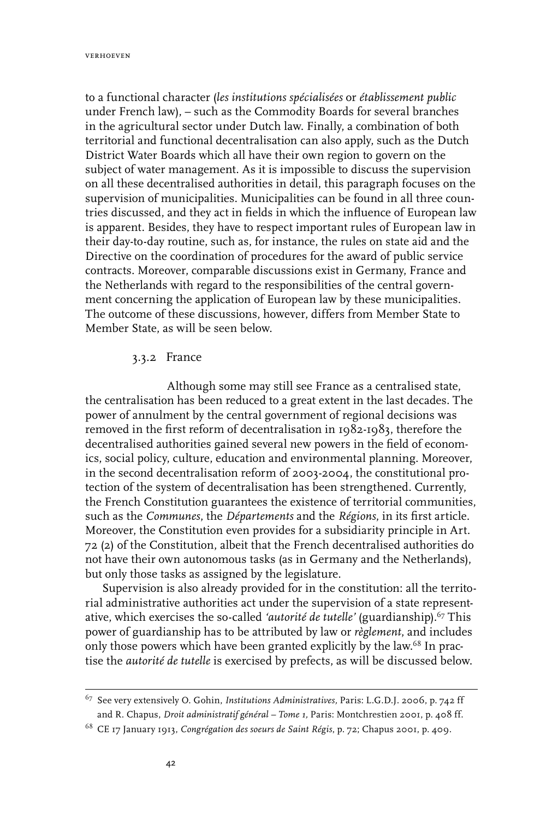verhoeven

to a functional character (*les institutions spécialisées* or *établissement public*  under French law), – such as the Commodity Boards for several branches in the agricultural sector under Dutch law. Finally, a combination of both territorial and functional decentralisation can also apply, such as the Dutch District Water Boards which all have their own region to govern on the subject of water management. As it is impossible to discuss the supervision on all these decentralised authorities in detail, this paragraph focuses on the supervision of municipalities. Municipalities can be found in all three countries discussed, and they act in fields in which the influence of European law is apparent. Besides, they have to respect important rules of European law in their day-to-day routine, such as, for instance, the rules on state aid and the Directive on the coordination of procedures for the award of public service contracts. Moreover, comparable discussions exist in Germany, France and the Netherlands with regard to the responsibilities of the central government concerning the application of European law by these municipalities. The outcome of these discussions, however, differs from Member State to Member State, as will be seen below.

# 3.3.2 France

Although some may still see France as a centralised state, the centralisation has been reduced to a great extent in the last decades. The power of annulment by the central government of regional decisions was removed in the first reform of decentralisation in 1982-1983, therefore the decentralised authorities gained several new powers in the field of economics, social policy, culture, education and environmental planning. Moreover, in the second decentralisation reform of 2003-2004, the constitutional protection of the system of decentralisation has been strengthened. Currently, the French Constitution guarantees the existence of territorial communities, such as the *Communes*, the *Départements* and the *Régions*, in its first article. Moreover, the Constitution even provides for a subsidiarity principle in Art. 72 (2) of the Constitution, albeit that the French decentralised authorities do not have their own autonomous tasks (as in Germany and the Netherlands), but only those tasks as assigned by the legislature.

Supervision is also already provided for in the constitution: all the territorial administrative authorities act under the supervision of a state representative, which exercises the so-called *'autorité de tutelle'* (guardianship).<sup>67</sup> This power of guardianship has to be attributed by law or *règlement*, and includes only those powers which have been granted explicitly by the law.<sup>68</sup> In practise the *autorité de tutelle* is exercised by prefects, as will be discussed below.

<sup>67</sup> See very extensively O. Gohin, *Institutions Administratives,* Paris: L.G.D.J. 2006, p. 742 ff and R. Chapus, *Droit administratif général – Tome 1,* Paris: Montchrestien 2001, p. 408 ff.

<sup>68</sup> CE 17 January 1913, *Congrégation des soeurs de Saint Régis*, p. 72; Chapus 2001, p. 409.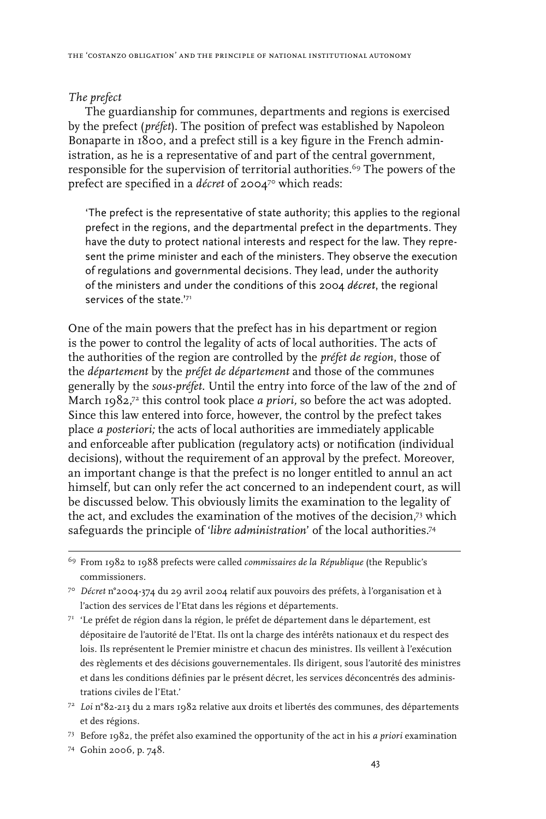#### *The prefect*

The guardianship for communes, departments and regions is exercised by the prefect (*préfet*). The position of prefect was established by Napoleon Bonaparte in 1800, and a prefect still is a key figure in the French administration, as he is a representative of and part of the central government, responsible for the supervision of territorial authorities.<sup>69</sup> The powers of the prefect are specified in a *décret* of 2004<sup>70</sup> which reads:

'The prefect is the representative of state authority; this applies to the regional prefect in the regions, and the departmental prefect in the departments. They have the duty to protect national interests and respect for the law. They represent the prime minister and each of the ministers. They observe the execution of regulations and governmental decisions. They lead, under the authority of the ministers and under the conditions of this 2004 *décret*, the regional services of the state.'71

One of the main powers that the prefect has in his department or region is the power to control the legality of acts of local authorities. The acts of the authorities of the region are controlled by the *préfet de region*, those of the *département* by the *préfet de département* and those of the communes generally by the *sous-préfet*. Until the entry into force of the law of the 2nd of March 1982, 72 this control took place *a priori,* so before the act was adopted. Since this law entered into force, however, the control by the prefect takes place *a posteriori;* the acts of local authorities are immediately applicable and enforceable after publication (regulatory acts) or notification (individual decisions), without the requirement of an approval by the prefect*.* Moreover, an important change is that the prefect is no longer entitled to annul an act himself, but can only refer the act concerned to an independent court, as will be discussed below. This obviously limits the examination to the legality of the act, and excludes the examination of the motives of the decision,73 which safeguards the principle of '*libre administration*' of the local authorities.74

72 *Loi* n°82-213 du 2 mars 1982 relative aux droits et libertés des communes, des départements et des régions.

<sup>69</sup> From 1982 to 1988 prefects were called *commissaires de la République* (the Republic's commissioners.

<sup>70</sup> *Décret* n°2004-374 du 29 avril 2004 relatif aux pouvoirs des préfets, à l'organisation et à l'action des services de l'Etat dans les régions et départements.

<sup>71</sup> 'Le préfet de région dans la région, le préfet de département dans le département, est dépositaire de l'autorité de l'Etat. Ils ont la charge des intérêts nationaux et du respect des lois. Ils représentent le Premier ministre et chacun des ministres. Ils veillent à l'exécution des règlements et des décisions gouvernementales. Ils dirigent, sous l'autorité des ministres et dans les conditions définies par le présent décret, les services déconcentrés des administrations civiles de l'Etat.'

<sup>73</sup> Before 1982, the préfet also examined the opportunity of the act in his *a priori* examination

<sup>74</sup> Gohin 2006, p. 748.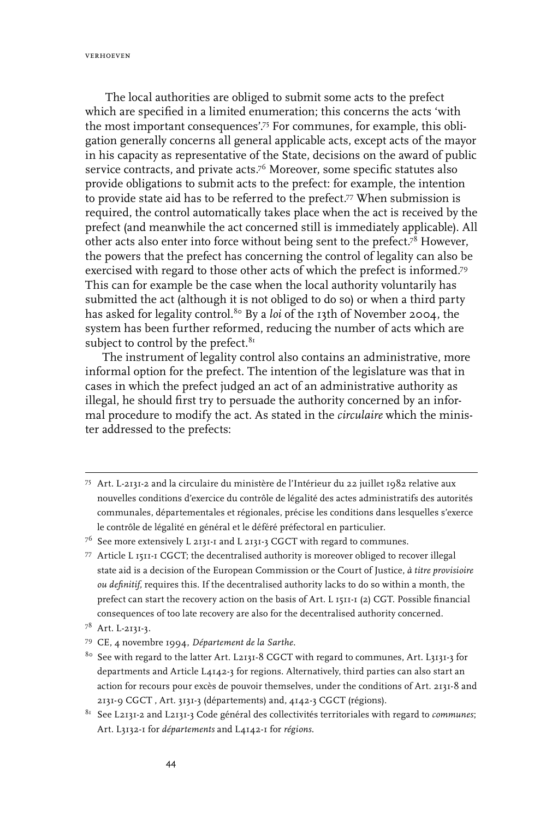verhoeven

The local authorities are obliged to submit some acts to the prefect which are specified in a limited enumeration; this concerns the acts 'with the most important consequences'.<sup>75</sup> For communes, for example, this obligation generally concerns all general applicable acts, except acts of the mayor in his capacity as representative of the State, decisions on the award of public service contracts, and private acts.<sup>76</sup> Moreover, some specific statutes also provide obligations to submit acts to the prefect: for example, the intention to provide state aid has to be referred to the prefect.<sup>77</sup> When submission is required, the control automatically takes place when the act is received by the prefect (and meanwhile the act concerned still is immediately applicable). All other acts also enter into force without being sent to the prefect.78 However, the powers that the prefect has concerning the control of legality can also be exercised with regard to those other acts of which the prefect is informed.79 This can for example be the case when the local authority voluntarily has submitted the act (although it is not obliged to do so) or when a third party has asked for legality control.<sup>80</sup> By a *loi* of the 13th of November 2004, the system has been further reformed, reducing the number of acts which are subject to control by the prefect.<sup>81</sup>

The instrument of legality control also contains an administrative, more informal option for the prefect. The intention of the legislature was that in cases in which the prefect judged an act of an administrative authority as illegal, he should first try to persuade the authority concerned by an informal procedure to modify the act. As stated in the *circulaire* which the minister addressed to the prefects:

75 Art. L-2131-2 and la circulaire du ministère de l'Intérieur du 22 juillet 1982 relative aux nouvelles conditions d'exercice du contrôle de légalité des actes administratifs des autorités communales, départementales et régionales, précise les conditions dans lesquelles s'exerce le contrôle de légalité en général et le déféré préfectoral en particulier.

77 Article L 1511-1 CGCT; the decentralised authority is moreover obliged to recover illegal state aid is a decision of the European Commission or the Court of Justice, *à titre provisioire ou definitif,* requires this. If the decentralised authority lacks to do so within a month, the prefect can start the recovery action on the basis of Art. L 1511-1 (2) CGT. Possible financial consequences of too late recovery are also for the decentralised authority concerned.

<sup>76</sup> See more extensively L 2131-1 and L 2131-3 CGCT with regard to communes.

<sup>78</sup> Art. L-2131-3.

<sup>79</sup> CE, 4 novembre 1994, *Département de la Sarthe.*

<sup>80</sup> See with regard to the latter Art. L2131-8 CGCT with regard to communes, Art. L3131-3 for departments and Article L4142-3 for regions. Alternatively, third parties can also start an action for recours pour excès de pouvoir themselves, under the conditions of Art. 2131-8 and 2131-9 CGCT , Art. 3131-3 (départements) and, 4142-3 CGCT (régions).

<sup>81</sup> See L2131-2 and L2131-3 Code général des collectivités territoriales with regard to *communes*; Art. L3132-1 for *départements* and L4142-1 for *régions*.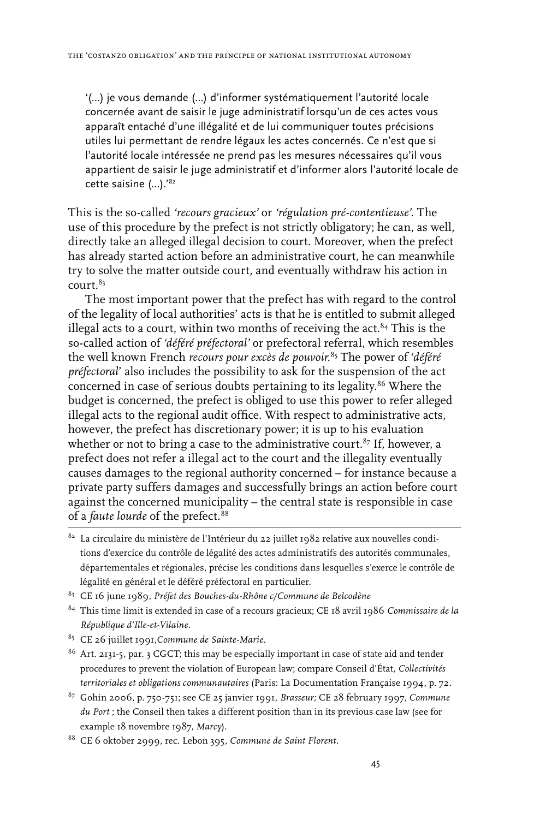'(...) je vous demande (...) d'informer systématiquement l'autorité locale concernée avant de saisir le juge administratif lorsqu'un de ces actes vous apparaît entaché d'une illégalité et de lui communiquer toutes précisions utiles lui permettant de rendre légaux les actes concernés. Ce n'est que si l'autorité locale intéressée ne prend pas les mesures nécessaires qu'il vous appartient de saisir le juge administratif et d'informer alors l'autorité locale de cette saisine (...).'82

This is the so-called *'recours gracieux'* or *'régulation pré-contentieuse'.* The use of this procedure by the prefect is not strictly obligatory; he can, as well, directly take an alleged illegal decision to court. Moreover, when the prefect has already started action before an administrative court, he can meanwhile try to solve the matter outside court, and eventually withdraw his action in court.83

The most important power that the prefect has with regard to the control of the legality of local authorities' acts is that he is entitled to submit alleged illegal acts to a court, within two months of receiving the act. $84$  This is the so-called action of *'déféré préfectoral'* or prefectoral referral, which resembles the well known French *recours pour excès de pouvoir*. 85 The power of '*déféré préfectoral*' also includes the possibility to ask for the suspension of the act concerned in case of serious doubts pertaining to its legality.<sup>86</sup> Where the budget is concerned, the prefect is obliged to use this power to refer alleged illegal acts to the regional audit office. With respect to administrative acts, however, the prefect has discretionary power; it is up to his evaluation whether or not to bring a case to the administrative court.<sup>87</sup> If, however, a prefect does not refer a illegal act to the court and the illegality eventually causes damages to the regional authority concerned – for instance because a private party suffers damages and successfully brings an action before court against the concerned municipality – the central state is responsible in case of a *faute lourde* of the prefect*.* 88

- $^{\text{82}}$  La circulaire du ministère de l'Intérieur du 22 juillet 1982 relative aux nouvelles conditions d'exercice du contrôle de légalité des actes administratifs des autorités communales, départementales et régionales, précise les conditions dans lesquelles s'exerce le contrôle de légalité en général et le déféré préfectoral en particulier.
- 83 CE 16 june 1989, *Préfet des Bouches-du-Rhône c/Commune de Belcodène*
- 84 This time limit is extended in case of a recours gracieux; CE 18 avril 1986 *Commissaire de la République d'Ille-et-Vilaine.*
- 85 CE 26 juillet 1991,*Commune de Sainte-Marie.*
- 86 Art. 2131-5, par. 3 CGCT; this may be especially important in case of state aid and tender procedures to prevent the violation of European law; compare Conseil d'État, *Collectivités territoriales et obligations communautaires* (Paris: La Documentation Française 1994, p. 72.
- 87 Gohin 2006, p. 750-751; see CE 25 janvier 1991, *Brasseur;* CE 28 february 1997, *Commune du Port* ; the Conseil then takes a different position than in its previous case law (see for example 18 novembre 1987, *Marcy*).
- 88 CE 6 oktober 2999, rec. Lebon 395, *Commune de Saint Florent.*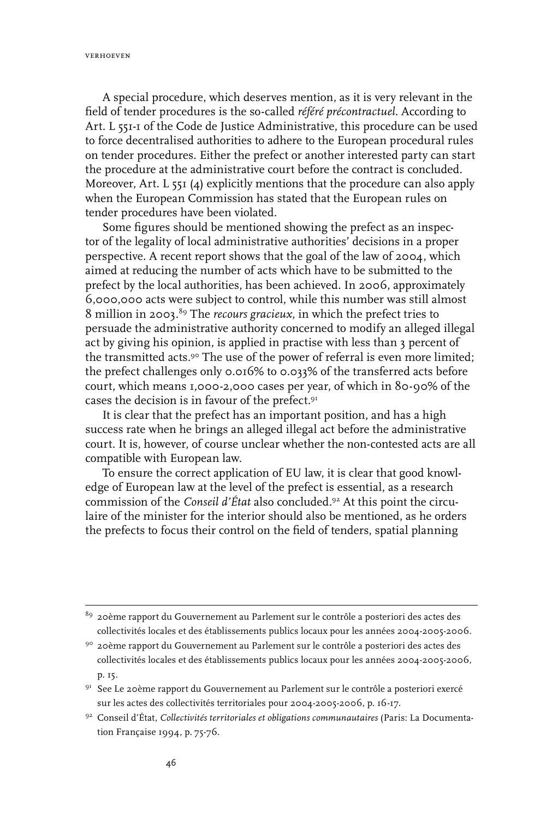verhoeven

A special procedure, which deserves mention, as it is very relevant in the field of tender procedures is the so-called *référé précontractuel*. According to Art. L 551-1 of the Code de Justice Administrative, this procedure can be used to force decentralised authorities to adhere to the European procedural rules on tender procedures. Either the prefect or another interested party can start the procedure at the administrative court before the contract is concluded. Moreover, Art. L 551 (4) explicitly mentions that the procedure can also apply when the European Commission has stated that the European rules on tender procedures have been violated.

Some figures should be mentioned showing the prefect as an inspector of the legality of local administrative authorities' decisions in a proper perspective. A recent report shows that the goal of the law of 2004, which aimed at reducing the number of acts which have to be submitted to the prefect by the local authorities, has been achieved. In 2006, approximately 6,000,000 acts were subject to control, while this number was still almost 8 million in 2003.89 The *recours gracieux*, in which the prefect tries to persuade the administrative authority concerned to modify an alleged illegal act by giving his opinion, is applied in practise with less than 3 percent of the transmitted acts.<sup>90</sup> The use of the power of referral is even more limited; the prefect challenges only 0.016% to 0.033% of the transferred acts before court, which means 1,000-2,000 cases per year, of which in 80-90% of the cases the decision is in favour of the prefect.91

It is clear that the prefect has an important position, and has a high success rate when he brings an alleged illegal act before the administrative court. It is, however, of course unclear whether the non-contested acts are all compatible with European law.

To ensure the correct application of EU law, it is clear that good knowledge of European law at the level of the prefect is essential, as a research commission of the *Conseil d'État* also concluded.92 At this point the circulaire of the minister for the interior should also be mentioned, as he orders the prefects to focus their control on the field of tenders, spatial planning

<sup>89 20</sup>ème rapport du Gouvernement au Parlement sur le contrôle a posteriori des actes des collectivités locales et des établissements publics locaux pour les années 2004-2005-2006.

<sup>90 20</sup>ème rapport du Gouvernement au Parlement sur le contrôle a posteriori des actes des collectivités locales et des établissements publics locaux pour les années 2004-2005-2006, p. 15.

<sup>&</sup>lt;sup>91</sup> See Le 20ème rapport du Gouvernement au Parlement sur le contrôle a posteriori exercé sur les actes des collectivités territoriales pour 2004-2005-2006, p. 16-17.

<sup>92</sup> Conseil d'État, *Collectivités territoriales et obligations communautaires* (Paris: La Documentation Française 1994, p. 75-76.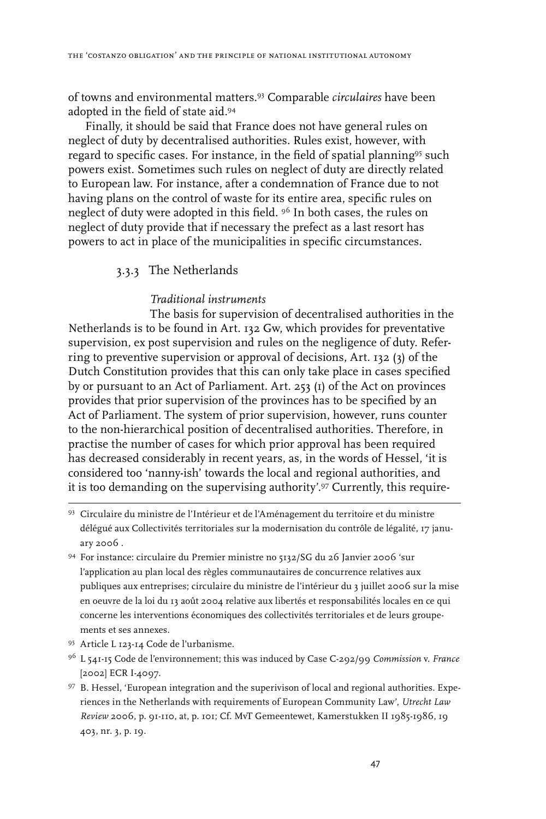of towns and environmental matters.93 Comparable *circulaires* have been adopted in the field of state aid.94

Finally, it should be said that France does not have general rules on neglect of duty by decentralised authorities. Rules exist, however, with regard to specific cases. For instance, in the field of spatial planning<sup>95</sup> such powers exist. Sometimes such rules on neglect of duty are directly related to European law. For instance, after a condemnation of France due to not having plans on the control of waste for its entire area, specific rules on neglect of duty were adopted in this field. <sup>96</sup> In both cases, the rules on neglect of duty provide that if necessary the prefect as a last resort has powers to act in place of the municipalities in specific circumstances.

#### 3.3.3 The Netherlands

#### *Traditional instruments*

The basis for supervision of decentralised authorities in the Netherlands is to be found in Art. 132 Gw, which provides for preventative supervision, ex post supervision and rules on the negligence of duty. Referring to preventive supervision or approval of decisions, Art. 132 (3) of the Dutch Constitution provides that this can only take place in cases specified by or pursuant to an Act of Parliament. Art. 253 (1) of the Act on provinces provides that prior supervision of the provinces has to be specified by an Act of Parliament. The system of prior supervision, however, runs counter to the non-hierarchical position of decentralised authorities. Therefore, in practise the number of cases for which prior approval has been required has decreased considerably in recent years, as, in the words of Hessel, 'it is considered too 'nanny-ish' towards the local and regional authorities, and it is too demanding on the supervising authority'.97 Currently, this require-

- 93 Circulaire du ministre de l'Intérieur et de l'Aménagement du territoire et du ministre délégué aux Collectivités territoriales sur la modernisation du contrôle de légalité, 17 january 2006 .
- 94 For instance: circulaire du Premier ministre no 5132/SG du 26 Janvier 2006 'sur l'application au plan local des règles communautaires de concurrence relatives aux publiques aux entreprises; circulaire du ministre de l'intérieur du 3 juillet 2006 sur la mise en oeuvre de la loi du 13 août 2004 relative aux libertés et responsabilités locales en ce qui concerne les interventions économiques des collectivités territoriales et de leurs groupements et ses annexes.
- 95 Article L 123-14 Code de l'urbanisme.
- 96 L 541-15 Code de l'environnement; this was induced by Case C-292/99 *Commission* v. *France* [2002] ECR I-4097.
- 97 B. Hessel, 'European integration and the superivison of local and regional authorities. Experiences in the Netherlands with requirements of European Community Law', *Utrecht Law Review* 2006, p. 91-110, at, p. 101; Cf. MvT Gemeentewet, Kamerstukken II 1985-1986, 19 403, nr. 3, p. 19.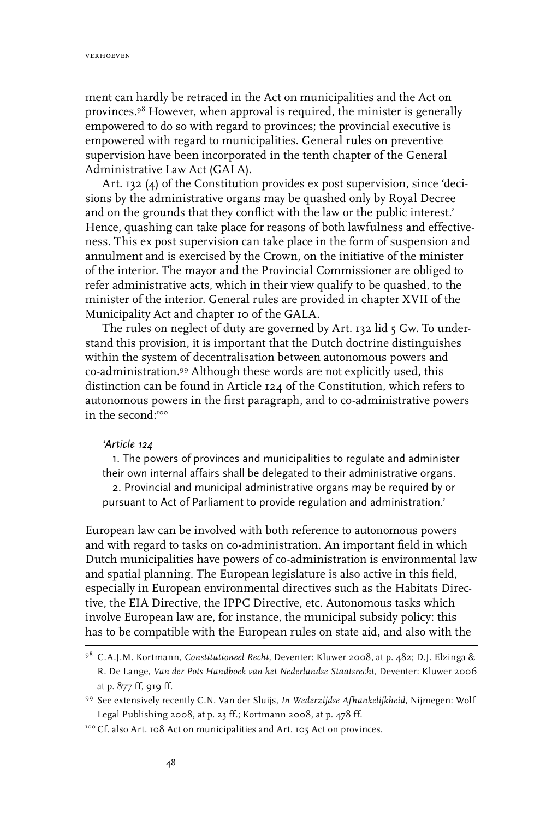ment can hardly be retraced in the Act on municipalities and the Act on provinces.98 However, when approval is required, the minister is generally empowered to do so with regard to provinces; the provincial executive is empowered with regard to municipalities. General rules on preventive supervision have been incorporated in the tenth chapter of the General Administrative Law Act (GALA).

Art. 132 (4) of the Constitution provides ex post supervision, since 'decisions by the administrative organs may be quashed only by Royal Decree and on the grounds that they conflict with the law or the public interest.' Hence, quashing can take place for reasons of both lawfulness and effectiveness. This ex post supervision can take place in the form of suspension and annulment and is exercised by the Crown, on the initiative of the minister of the interior. The mayor and the Provincial Commissioner are obliged to refer administrative acts, which in their view qualify to be quashed, to the minister of the interior. General rules are provided in chapter XVII of the Municipality Act and chapter 10 of the GALA.

The rules on neglect of duty are governed by Art. 132 lid 5 Gw. To understand this provision, it is important that the Dutch doctrine distinguishes within the system of decentralisation between autonomous powers and co-administration.99 Although these words are not explicitly used, this distinction can be found in Article 124 of the Constitution, which refers to autonomous powers in the first paragraph, and to co-administrative powers in the second<sup>100</sup>

#### *'Article 124*

1. The powers of provinces and municipalities to regulate and administer their own internal affairs shall be delegated to their administrative organs. 2. Provincial and municipal administrative organs may be required by or pursuant to Act of Parliament to provide regulation and administration.'

European law can be involved with both reference to autonomous powers and with regard to tasks on co-administration. An important field in which Dutch municipalities have powers of co-administration is environmental law and spatial planning. The European legislature is also active in this field, especially in European environmental directives such as the Habitats Directive, the EIA Directive, the IPPC Directive, etc. Autonomous tasks which involve European law are, for instance, the municipal subsidy policy: this has to be compatible with the European rules on state aid, and also with the

<sup>98</sup> C.A.J.M. Kortmann, *Constitutioneel Recht,* Deventer: Kluwer 2008, at p. 482; D.J. Elzinga & R. De Lange, *Van der Pots Handboek van het Nederlandse Staatsrecht,* Deventer: Kluwer 2006 at p. 877 ff, 919 ff.

<sup>99</sup> See extensively recently C.N. Van der Sluijs, *In Wederzijdse Afhankelijkheid,* Nijmegen: Wolf Legal Publishing 2008, at p. 23 ff.; Kortmann 2008, at p. 478 ff.

<sup>100</sup> Cf. also Art. 108 Act on municipalities and Art. 105 Act on provinces.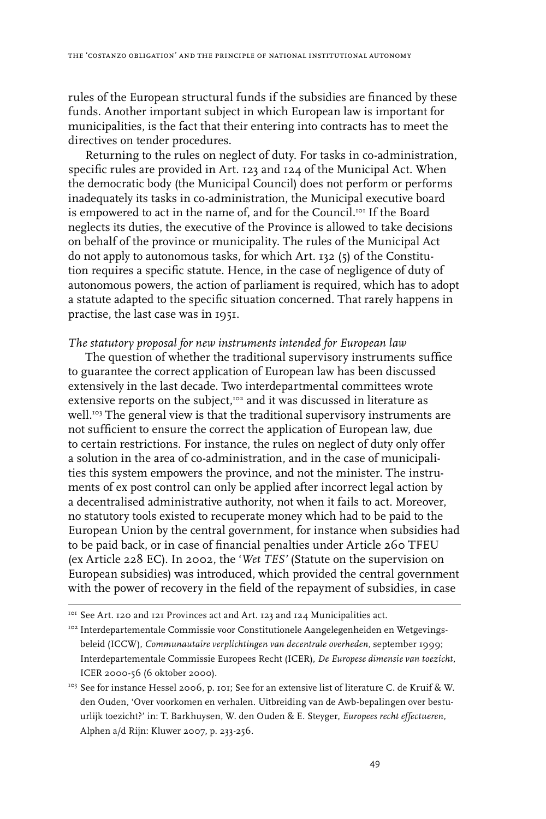rules of the European structural funds if the subsidies are financed by these funds. Another important subject in which European law is important for municipalities, is the fact that their entering into contracts has to meet the directives on tender procedures.

Returning to the rules on neglect of duty. For tasks in co-administration, specific rules are provided in Art. 123 and 124 of the Municipal Act. When the democratic body (the Municipal Council) does not perform or performs inadequately its tasks in co-administration, the Municipal executive board is empowered to act in the name of, and for the Council.101 If the Board neglects its duties, the executive of the Province is allowed to take decisions on behalf of the province or municipality. The rules of the Municipal Act do not apply to autonomous tasks, for which Art. 132 (5) of the Constitution requires a specific statute. Hence, in the case of negligence of duty of autonomous powers, the action of parliament is required, which has to adopt a statute adapted to the specific situation concerned. That rarely happens in practise, the last case was in 1951.

#### *The statutory proposal for new instruments intended for European law*

The question of whether the traditional supervisory instruments suffice to guarantee the correct application of European law has been discussed extensively in the last decade. Two interdepartmental committees wrote extensive reports on the subject,102 and it was discussed in literature as well.<sup>103</sup> The general view is that the traditional supervisory instruments are not sufficient to ensure the correct the application of European law, due to certain restrictions. For instance, the rules on neglect of duty only offer a solution in the area of co-administration, and in the case of municipalities this system empowers the province, and not the minister. The instruments of ex post control can only be applied after incorrect legal action by a decentralised administrative authority, not when it fails to act. Moreover, no statutory tools existed to recuperate money which had to be paid to the European Union by the central government, for instance when subsidies had to be paid back, or in case of financial penalties under Article 260 TFEU (ex Article 228 EC). In 2002, the '*Wet TES'* (Statute on the supervision on European subsidies) was introduced, which provided the central government with the power of recovery in the field of the repayment of subsidies, in case

<sup>&</sup>lt;sup>101</sup> See Art. 120 and 121 Provinces act and Art. 123 and 124 Municipalities act.

<sup>&</sup>lt;sup>102</sup> Interdepartementale Commissie voor Constitutionele Aangelegenheiden en Wetgevingsbeleid (ICCW), *Communautaire verplichtingen van decentrale overheden,* september 1999; Interdepartementale Commissie Europees Recht (ICER), *De Europese dimensie van toezicht*, ICER 2000-56 (6 oktober 2000).

<sup>&</sup>lt;sup>103</sup> See for instance Hessel 2006, p. 101; See for an extensive list of literature C. de Kruif & W. den Ouden, 'Over voorkomen en verhalen. Uitbreiding van de Awb-bepalingen over bestuurlijk toezicht?' in: T. Barkhuysen, W. den Ouden & E. Steyger, *Europees recht effectueren,*  Alphen a/d Rijn: Kluwer 2007, p. 233-256.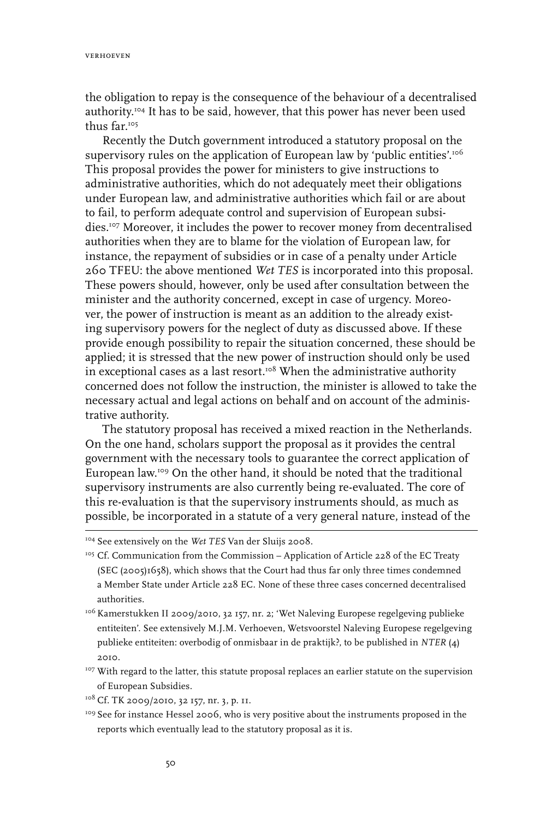verhoeven

the obligation to repay is the consequence of the behaviour of a decentralised authority.<sup>104</sup> It has to be said, however, that this power has never been used thus far.105

Recently the Dutch government introduced a statutory proposal on the supervisory rules on the application of European law by 'public entities'.<sup>106</sup> This proposal provides the power for ministers to give instructions to administrative authorities, which do not adequately meet their obligations under European law, and administrative authorities which fail or are about to fail, to perform adequate control and supervision of European subsidies.107 Moreover, it includes the power to recover money from decentralised authorities when they are to blame for the violation of European law, for instance, the repayment of subsidies or in case of a penalty under Article 260 TFEU: the above mentioned *Wet TES* is incorporated into this proposal. These powers should, however, only be used after consultation between the minister and the authority concerned, except in case of urgency. Moreover, the power of instruction is meant as an addition to the already existing supervisory powers for the neglect of duty as discussed above. If these provide enough possibility to repair the situation concerned, these should be applied; it is stressed that the new power of instruction should only be used in exceptional cases as a last resort.<sup>108</sup> When the administrative authority concerned does not follow the instruction, the minister is allowed to take the necessary actual and legal actions on behalf and on account of the administrative authority.

The statutory proposal has received a mixed reaction in the Netherlands. On the one hand, scholars support the proposal as it provides the central government with the necessary tools to guarantee the correct application of European law.109 On the other hand, it should be noted that the traditional supervisory instruments are also currently being re-evaluated. The core of this re-evaluation is that the supervisory instruments should, as much as possible, be incorporated in a statute of a very general nature, instead of the

<sup>104</sup> See extensively on the *Wet TES* Van der Sluijs 2008.

<sup>&</sup>lt;sup>105</sup> Cf. Communication from the Commission – Application of Article 228 of the EC Treaty (SEC (2005)1658), which shows that the Court had thus far only three times condemned a Member State under Article 228 EC. None of these three cases concerned decentralised authorities.

<sup>&</sup>lt;sup>106</sup> Kamerstukken II 2009/2010, 32 157, nr. 2; 'Wet Naleving Europese regelgeving publieke entiteiten'. See extensively M.J.M. Verhoeven, Wetsvoorstel Naleving Europese regelgeving publieke entiteiten: overbodig of onmisbaar in de praktijk?, to be published in *NTER* (4) 2010.

<sup>&</sup>lt;sup>107</sup> With regard to the latter, this statute proposal replaces an earlier statute on the supervision of European Subsidies.

<sup>&</sup>lt;sup>108</sup> Cf. TK 2009/2010, 32 157, nr. 3, p. 11.

<sup>&</sup>lt;sup>109</sup> See for instance Hessel 2006, who is very positive about the instruments proposed in the reports which eventually lead to the statutory proposal as it is.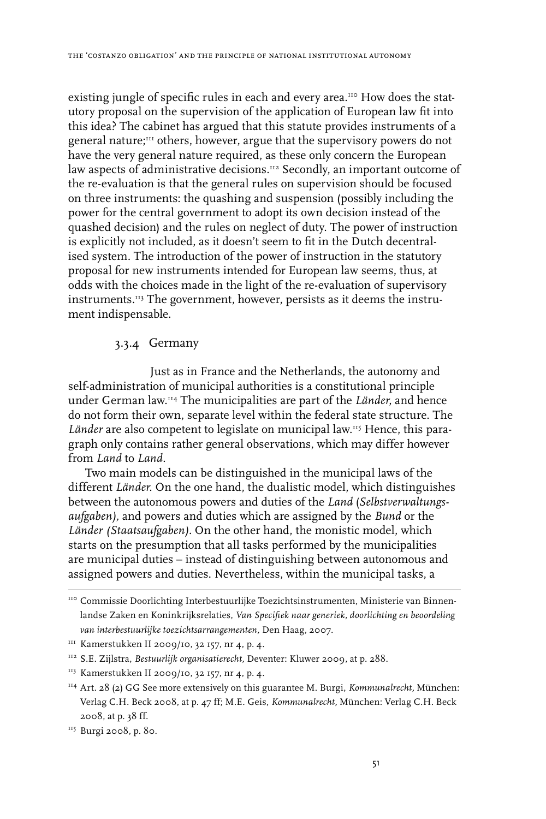existing jungle of specific rules in each and every area.<sup>110</sup> How does the statutory proposal on the supervision of the application of European law fit into this idea? The cabinet has argued that this statute provides instruments of a general nature;<sup>111</sup> others, however, argue that the supervisory powers do not have the very general nature required, as these only concern the European law aspects of administrative decisions.<sup>112</sup> Secondly, an important outcome of the re-evaluation is that the general rules on supervision should be focused on three instruments: the quashing and suspension (possibly including the power for the central government to adopt its own decision instead of the quashed decision) and the rules on neglect of duty. The power of instruction is explicitly not included, as it doesn't seem to fit in the Dutch decentralised system. The introduction of the power of instruction in the statutory proposal for new instruments intended for European law seems, thus, at odds with the choices made in the light of the re-evaluation of supervisory instruments.113 The government, however, persists as it deems the instrument indispensable.

# 3.3.4 Germany

Just as in France and the Netherlands, the autonomy and self-administration of municipal authorities is a constitutional principle under German law.114 The municipalities are part of the *Länder*, and hence do not form their own, separate level within the federal state structure. The *Länder* are also competent to legislate on municipal law.115 Hence, this paragraph only contains rather general observations, which may differ however from *Land* to *Land.* 

Two main models can be distinguished in the municipal laws of the different *Länder*. On the one hand, the dualistic model, which distinguishes between the autonomous powers and duties of the *Land* (*Selbstverwaltungsaufgaben),* and powers and duties which are assigned by the *Bund* or the *Länder (Staatsaufgaben).* On the other hand, the monistic model, which starts on the presumption that all tasks performed by the municipalities are municipal duties – instead of distinguishing between autonomous and assigned powers and duties. Nevertheless, within the municipal tasks, a

<sup>110</sup> Commissie Doorlichting Interbestuurlijke Toezichtsinstrumenten, Ministerie van Binnenlandse Zaken en Koninkrijksrelaties, *Van Specifiek naar generiek, doorlichting en beoordeling van interbestuurlijke toezichtsarrangementen,* Den Haag, 2007.

 $111$  Kamerstukken II 2009/10, 32 157, nr 4, p. 4.

<sup>112</sup> S.E. Zijlstra, *Bestuurlijk organisatierecht,* Deventer: Kluwer 2009, at p. 288.

<sup>113</sup> Kamerstukken II 2009/10, 32 157, nr 4, p. 4.

<sup>114</sup> Art. 28 (2) GG See more extensively on this guarantee M. Burgi, *Kommunalrecht,* München: Verlag C.H. Beck 2008, at p. 47 ff; M.E. Geis, *Kommunalrecht,* München: Verlag C.H. Beck 2008, at p. 38 ff.

<sup>&</sup>lt;sup>115</sup> Burgi 2008, p. 80.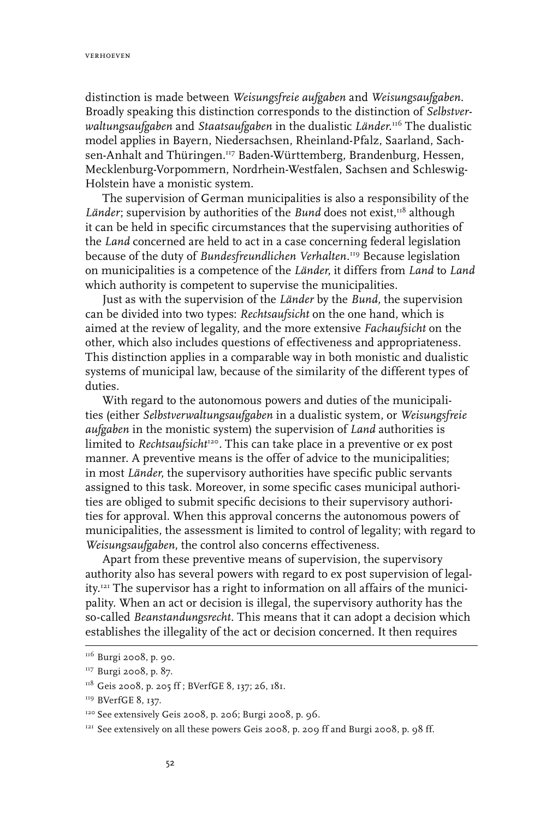distinction is made between *Weisungsfreie aufgaben* and *Weisungsaufgaben*. Broadly speaking this distinction corresponds to the distinction of *Selbstverwaltungsaufgaben* and *Staatsaufgaben* in the dualistic *Länder.*116 The dualistic model applies in Bayern, Niedersachsen, Rheinland-Pfalz, Saarland, Sachsen-Anhalt and Thüringen.117 Baden-Württemberg, Brandenburg, Hessen, Mecklenburg-Vorpommern, Nordrhein-Westfalen, Sachsen and Schleswig-Holstein have a monistic system.

The supervision of German municipalities is also a responsibility of the Länder; supervision by authorities of the *Bund* does not exist,<sup>118</sup> although it can be held in specific circumstances that the supervising authorities of the *Land* concerned are held to act in a case concerning federal legislation because of the duty of *Bundesfreundlichen Verhalten.*119 Because legislation on municipalities is a competence of the *Länder*, it differs from *Land* to *Land*  which authority is competent to supervise the municipalities.

Just as with the supervision of the *Länder* by the *Bund,* the supervision can be divided into two types: *Rechtsaufsicht* on the one hand, which is aimed at the review of legality, and the more extensive *Fachaufsicht* on the other, which also includes questions of effectiveness and appropriateness. This distinction applies in a comparable way in both monistic and dualistic systems of municipal law, because of the similarity of the different types of duties.

With regard to the autonomous powers and duties of the municipalities (either *Selbstverwaltungsaufgaben* in a dualistic system, or *Weisungsfreie aufgaben* in the monistic system) the supervision of *Land* authorities is limited to *Rechtsaufsicht<sup>120</sup>*. This can take place in a preventive or ex post manner. A preventive means is the offer of advice to the municipalities; in most *Länder*, the supervisory authorities have specific public servants assigned to this task. Moreover, in some specific cases municipal authorities are obliged to submit specific decisions to their supervisory authorities for approval. When this approval concerns the autonomous powers of municipalities, the assessment is limited to control of legality; with regard to *Weisungsaufgaben*, the control also concerns effectiveness.

Apart from these preventive means of supervision, the supervisory authority also has several powers with regard to ex post supervision of legality.121 The supervisor has a right to information on all affairs of the municipality. When an act or decision is illegal, the supervisory authority has the so-called *Beanstandungsrecht*. This means that it can adopt a decision which establishes the illegality of the act or decision concerned. It then requires

<sup>&</sup>lt;sup>116</sup> Burgi 2008, p. 90.

<sup>&</sup>lt;sup>117</sup> Burgi 2008, p. 87.

<sup>&</sup>lt;sup>118</sup> Geis 2008, p. 205 ff ; BVerfGE 8, 137; 26, 181.

<sup>&</sup>lt;sup>119</sup> BVerfGE 8, 137.

<sup>120</sup> See extensively Geis 2008, p. 206; Burgi 2008, p. 96.

<sup>&</sup>lt;sup>121</sup> See extensively on all these powers Geis 2008, p. 209 ff and Burgi 2008, p. 98 ff.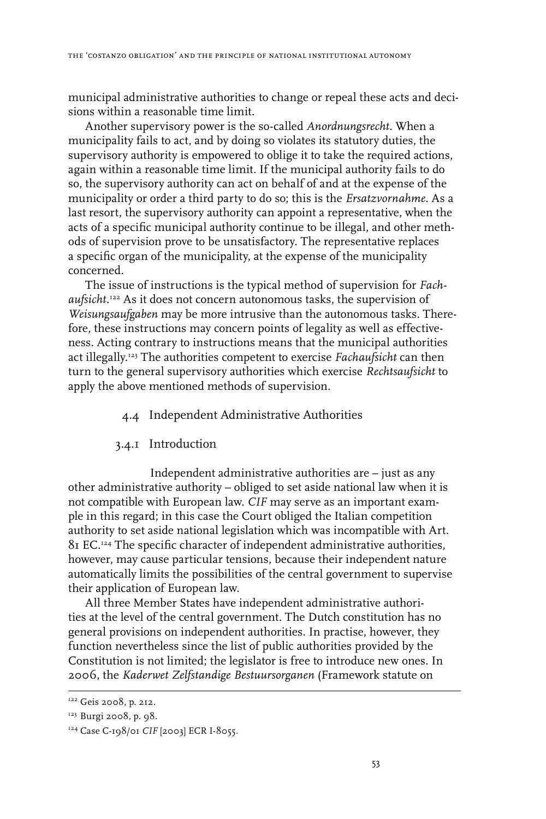municipal administrative authorities to change or repeal these acts and decisions within a reasonable time limit.

Another supervisory power is the so-called *Anordnungsrecht.* When a municipality fails to act, and by doing so violates its statutory duties, the supervisory authority is empowered to oblige it to take the required actions, again within a reasonable time limit. If the municipal authority fails to do so, the supervisory authority can act on behalf of and at the expense of the municipality or order a third party to do so; this is the *Ersatzvornahme*. As a last resort, the supervisory authority can appoint a representative, when the acts of a specific municipal authority continue to be illegal, and other methods of supervision prove to be unsatisfactory. The representative replaces a specific organ of the municipality, at the expense of the municipality concerned.

The issue of instructions is the typical method of supervision for *Fachaufsicht.*<sup>122</sup> As it does not concern autonomous tasks, the supervision of *Weisungsaufgaben* may be more intrusive than the autonomous tasks. Therefore, these instructions may concern points of legality as well as effectiveness. Acting contrary to instructions means that the municipal authorities act illegally.123 The authorities competent to exercise *Fachaufsicht* can then turn to the general supervisory authorities which exercise *Rechtsaufsicht* to apply the above mentioned methods of supervision.

## 4.4 Independent Administrative Authorities

#### 3.4.1 Introduction

Independent administrative authorities are – just as any other administrative authority – obliged to set aside national law when it is not compatible with European law. *CIF* may serve as an important example in this regard; in this case the Court obliged the Italian competition authority to set aside national legislation which was incompatible with Art. 81 EC.124 The specific character of independent administrative authorities, however, may cause particular tensions, because their independent nature automatically limits the possibilities of the central government to supervise their application of European law.

All three Member States have independent administrative authorities at the level of the central government. The Dutch constitution has no general provisions on independent authorities. In practise, however, they function nevertheless since the list of public authorities provided by the Constitution is not limited; the legislator is free to introduce new ones. In 2006, the *Kaderwet Zelfstandige Bestuursorganen* (Framework statute on

<sup>&</sup>lt;sup>122</sup> Geis 2008, p. 212.

<sup>&</sup>lt;sup>123</sup> Burgi 2008, p. 98.

<sup>124</sup> Case C-198/01 *CIF* [2003] ECR I-8055.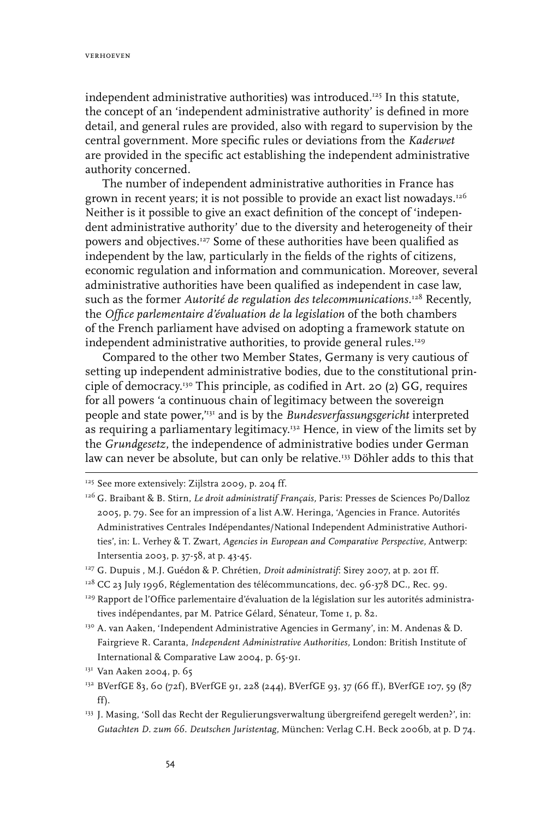independent administrative authorities) was introduced.125 In this statute, the concept of an 'independent administrative authority' is defined in more detail, and general rules are provided, also with regard to supervision by the central government. More specific rules or deviations from the *Kaderwet* are provided in the specific act establishing the independent administrative authority concerned.

The number of independent administrative authorities in France has grown in recent years; it is not possible to provide an exact list nowadays.<sup>126</sup> Neither is it possible to give an exact definition of the concept of 'independent administrative authority' due to the diversity and heterogeneity of their powers and objectives.127 Some of these authorities have been qualified as independent by the law, particularly in the fields of the rights of citizens, economic regulation and information and communication. Moreover, several administrative authorities have been qualified as independent in case law, such as the former *Autorité de regulation des telecommunications.*<sup>128</sup> Recently, the *Office parlementaire d'évaluation de la legislation* of the both chambers of the French parliament have advised on adopting a framework statute on independent administrative authorities, to provide general rules.<sup>129</sup>

Compared to the other two Member States, Germany is very cautious of setting up independent administrative bodies, due to the constitutional principle of democracy.130 This principle, as codified in Art. 20 (2) GG, requires for all powers 'a continuous chain of legitimacy between the sovereign people and state power,'131 and is by the *Bundesverfassungsgericht* interpreted as requiring a parliamentary legitimacy.132 Hence, in view of the limits set by the *Grundgesetz*, the independence of administrative bodies under German law can never be absolute, but can only be relative.<sup>133</sup> Döhler adds to this that

<sup>&</sup>lt;sup>125</sup> See more extensively: Zijlstra 2009, p. 204 ff.

<sup>126</sup> G. Braibant & B. Stirn, *Le droit administratif Français,* Paris: Presses de Sciences Po/Dalloz 2005, p. 79. See for an impression of a list A.W. Heringa, 'Agencies in France. Autorités Administratives Centrales Indépendantes/National Independent Administrative Authorities', in: L. Verhey & T. Zwart, *Agencies in European and Comparative Perspective,* Antwerp: Intersentia 2003, p. 37-58, at p. 43-45.

<sup>&</sup>lt;sup>127</sup> G. Dupuis , M.J. Guédon & P. Chrétien, *Droit administratif*: Sirey 2007, at p. 201 ff.

<sup>&</sup>lt;sup>128</sup> CC 23 July 1996, Réglementation des télécommuncations, dec. 96-378 DC., Rec. 99.

<sup>&</sup>lt;sup>129</sup> Rapport de l'Office parlementaire d'évaluation de la législation sur les autorités administratives indépendantes, par M. Patrice Gélard, Sénateur, Tome 1, p. 82.

<sup>130</sup> A. van Aaken, 'Independent Administrative Agencies in Germany', in: M. Andenas & D. Fairgrieve R. Caranta, *Independent Administrative Authorities,* London: British Institute of International & Comparative Law 2004, p. 65-91.

<sup>&</sup>lt;sup>131</sup> Van Aaken 2004, p. 65

<sup>&</sup>lt;sup>132</sup> BVerfGE 83, 60 (72f), BVerfGE 91, 228 (244), BVerfGE 93, 37 (66 ff.), BVerfGE 107, 59 (87 ff).

<sup>&</sup>lt;sup>133</sup> J. Masing, 'Soll das Recht der Regulierungsverwaltung übergreifend geregelt werden?', in: *Gutachten D. zum 66. Deutschen Juristentag,* München: Verlag C.H. Beck 2006b, at p. D 74.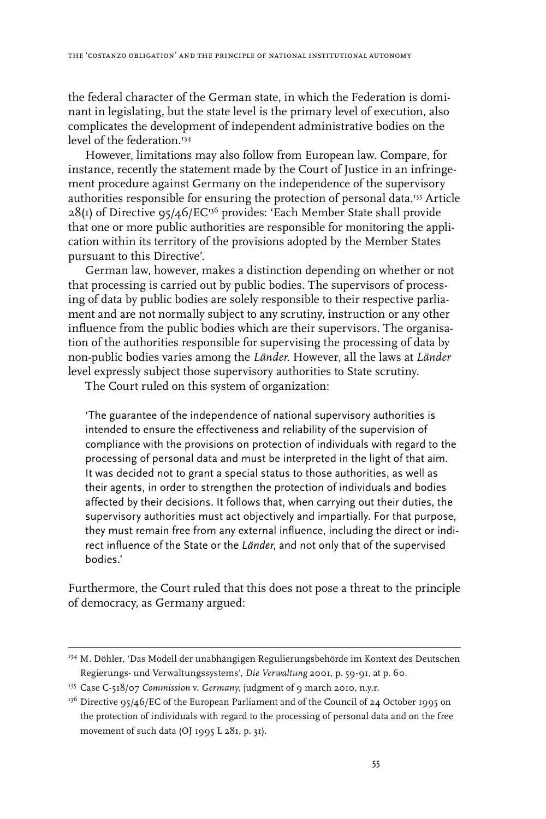the federal character of the German state, in which the Federation is dominant in legislating, but the state level is the primary level of execution, also complicates the development of independent administrative bodies on the level of the federation.<sup>134</sup>

However, limitations may also follow from European law. Compare, for instance, recently the statement made by the Court of Justice in an infringement procedure against Germany on the independence of the supervisory authorities responsible for ensuring the protection of personal data.<sup>135</sup> Article  $28(I)$  of Directive 95/46/EC<sup>136</sup> provides: 'Each Member State shall provide that one or more public authorities are responsible for monitoring the application within its territory of the provisions adopted by the Member States pursuant to this Directive'.

German law, however, makes a distinction depending on whether or not that processing is carried out by public bodies. The supervisors of processing of data by public bodies are solely responsible to their respective parliament and are not normally subject to any scrutiny, instruction or any other influence from the public bodies which are their supervisors. The organisation of the authorities responsible for supervising the processing of data by non-public bodies varies among the *Länder*. However, all the laws at *Länder* level expressly subject those supervisory authorities to State scrutiny.

The Court ruled on this system of organization:

'The guarantee of the independence of national supervisory authorities is intended to ensure the effectiveness and reliability of the supervision of compliance with the provisions on protection of individuals with regard to the processing of personal data and must be interpreted in the light of that aim. It was decided not to grant a special status to those authorities, as well as their agents, in order to strengthen the protection of individuals and bodies affected by their decisions. It follows that, when carrying out their duties, the supervisory authorities must act objectively and impartially. For that purpose, they must remain free from any external influence, including the direct or indirect influence of the State or the *Länder*, and not only that of the supervised bodies.'

Furthermore, the Court ruled that this does not pose a threat to the principle of democracy, as Germany argued:

<sup>134</sup> M. Döhler, 'Das Modell der unabhängigen Regulierungsbehörde im Kontext des Deutschen Regierungs- und Verwaltungssystems', *Die Verwaltung* 2001, p. 59-91, at p. 60.

<sup>135</sup> Case C-518/07 *Commission* v. *Germany*, judgment of 9 march 2010, n.y.r.

 $136$  Directive 95/46/EC of the European Parliament and of the Council of 24 October 1995 on the protection of individuals with regard to the processing of personal data and on the free movement of such data (OJ 1995 L 281, p. 31).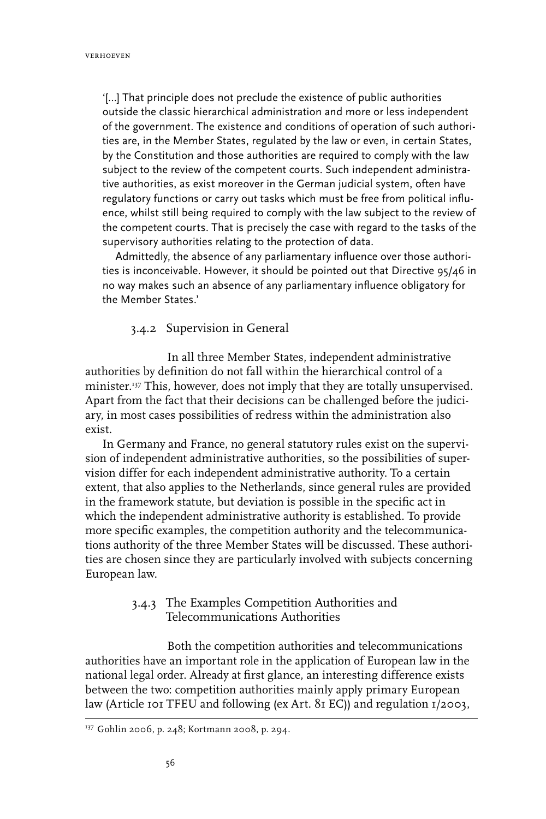'[…] That principle does not preclude the existence of public authorities outside the classic hierarchical administration and more or less independent of the government. The existence and conditions of operation of such authorities are, in the Member States, regulated by the law or even, in certain States, by the Constitution and those authorities are required to comply with the law subject to the review of the competent courts. Such independent administrative authorities, as exist moreover in the German judicial system, often have regulatory functions or carry out tasks which must be free from political influence, whilst still being required to comply with the law subject to the review of the competent courts. That is precisely the case with regard to the tasks of the supervisory authorities relating to the protection of data.

Admittedly, the absence of any parliamentary influence over those authorities is inconceivable. However, it should be pointed out that Directive 95/46 in no way makes such an absence of any parliamentary influence obligatory for the Member States.'

# 3.4.2 Supervision in General

In all three Member States, independent administrative authorities by definition do not fall within the hierarchical control of a minister.137 This, however, does not imply that they are totally unsupervised. Apart from the fact that their decisions can be challenged before the judiciary, in most cases possibilities of redress within the administration also exist.

In Germany and France, no general statutory rules exist on the supervision of independent administrative authorities, so the possibilities of supervision differ for each independent administrative authority. To a certain extent, that also applies to the Netherlands, since general rules are provided in the framework statute, but deviation is possible in the specific act in which the independent administrative authority is established. To provide more specific examples, the competition authority and the telecommunications authority of the three Member States will be discussed. These authorities are chosen since they are particularly involved with subjects concerning European law.

# 3.4.3 The Examples Competition Authorities and Telecommunications Authorities

Both the competition authorities and telecommunications authorities have an important role in the application of European law in the national legal order. Already at first glance, an interesting difference exists between the two: competition authorities mainly apply primary European law (Article 101 TFEU and following (ex Art. 81 EC)) and regulation 1/2003,

<sup>137</sup> Gohlin 2006, p. 248; Kortmann 2008, p. 294.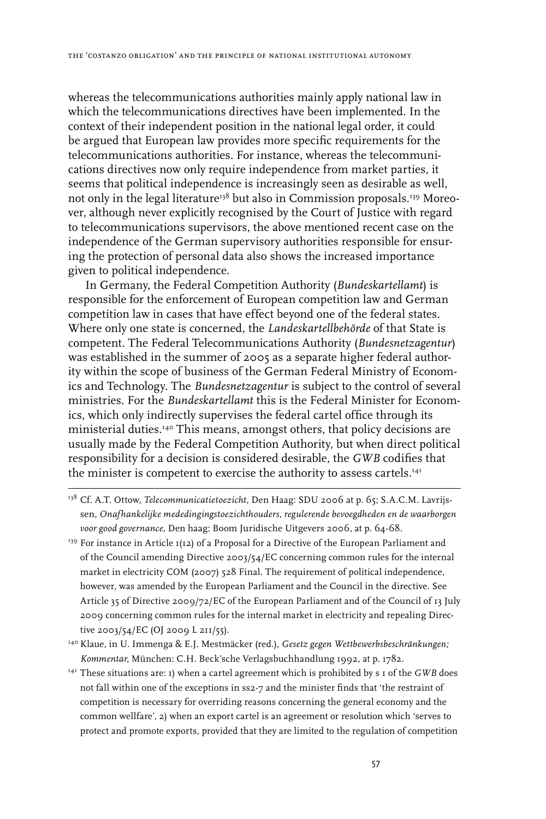whereas the telecommunications authorities mainly apply national law in which the telecommunications directives have been implemented. In the context of their independent position in the national legal order, it could be argued that European law provides more specific requirements for the telecommunications authorities. For instance, whereas the telecommunications directives now only require independence from market parties, it seems that political independence is increasingly seen as desirable as well, not only in the legal literature<sup>138</sup> but also in Commission proposals.<sup>139</sup> Moreover, although never explicitly recognised by the Court of Justice with regard to telecommunications supervisors, the above mentioned recent case on the independence of the German supervisory authorities responsible for ensuring the protection of personal data also shows the increased importance given to political independence.

In Germany, the Federal Competition Authority (*Bundeskartellamt*) is responsible for the enforcement of European competition law and German competition law in cases that have effect beyond one of the federal states. Where only one state is concerned, the *Landeskartellbehörde* of that State is competent. The Federal Telecommunications Authority (*Bundesnetzagentur*) was established in the summer of 2005 as a separate higher federal authority within the scope of business of the German Federal Ministry of Economics and Technology. The *Bundesnetzagentur* is subject to the control of several ministries. For the *Bundeskartellamt* this is the Federal Minister for Economics, which only indirectly supervises the federal cartel office through its ministerial duties.140 This means, amongst others, that policy decisions are usually made by the Federal Competition Authority, but when direct political responsibility for a decision is considered desirable, the *GWB* codifies that the minister is competent to exercise the authority to assess cartels.<sup>141</sup>

- <sup>138</sup> Cf. A.T. Ottow, *Telecommunicatietoezicht*, Den Haag: SDU 2006 at p. 65; S.A.C.M. Lavrijssen, *Onafhankelijke mededingingstoezichthouders, regulerende bevoegdheden en de waarborgen voor good governance,* Den haag: Boom Juridische Uitgevers 2006, at p. 64-68.
- <sup>139</sup> For instance in Article 1(12) of a Proposal for a Directive of the European Parliament and of the Council amending Directive 2003/54/EC concerning common rules for the internal market in electricity COM (2007) 528 Final. The requirement of political independence, however, was amended by the European Parliament and the Council in the directive. See Article 35 of Directive 2009/72/EC of the European Parliament and of the Council of 13 July 2009 concerning common rules for the internal market in electricity and repealing Directive 2003/54/EC (OJ 2009 L 211/55).
- 140 Klaue, in U. Immenga & E.J. Mestmäcker (red.), *Gesetz gegen Wettbewerbsbeschränkungen; Kommentar*, München: C.H. Beck'sche Verlagsbuchhandlung 1992, at p. 1782.
- 141 These situations are: 1) when a cartel agreement which is prohibited by s 1 of the *GWB* does not fall within one of the exceptions in ss2-7 and the minister finds that 'the restraint of competition is necessary for overriding reasons concerning the general economy and the common wellfare', 2) when an export cartel is an agreement or resolution which 'serves to protect and promote exports, provided that they are limited to the regulation of competition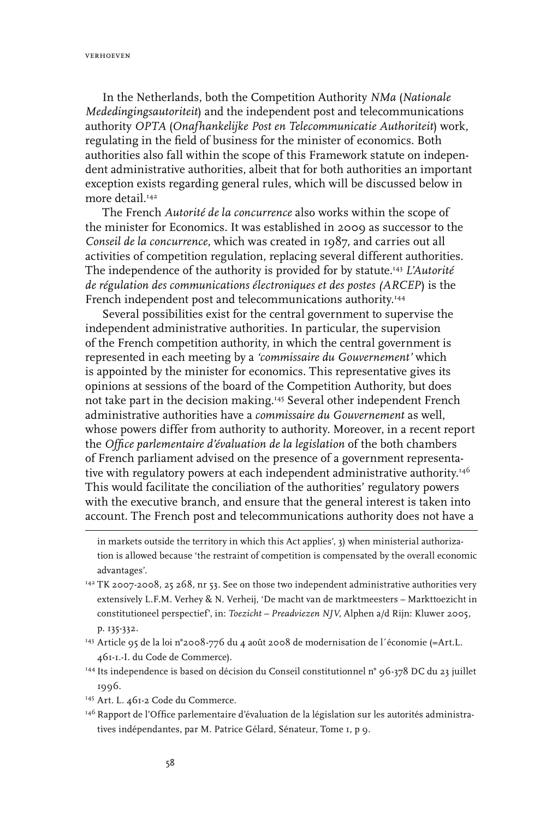In the Netherlands, both the Competition Authority *NMa* (*Nationale Mededingingsautoriteit*) and the independent post and telecommunications authority *OPTA* (*Onafhankelijke Post en Telecommunicatie Authoriteit*) work, regulating in the field of business for the minister of economics. Both authorities also fall within the scope of this Framework statute on independent administrative authorities, albeit that for both authorities an important exception exists regarding general rules, which will be discussed below in more detail<sup>142</sup>

The French *Autorité de la concurrence* also works within the scope of the minister for Economics. It was established in 2009 as successor to the *Conseil de la concurrence*, which was created in 1987, and carries out all activities of competition regulation, replacing several different authorities. The independence of the authority is provided for by statute.143 *L'Autorité de régulation des communications électroniques et des postes (ARCEP*) is the French independent post and telecommunications authority.<sup>144</sup>

Several possibilities exist for the central government to supervise the independent administrative authorities. In particular, the supervision of the French competition authority, in which the central government is represented in each meeting by a *'commissaire du Gouvernement'* which is appointed by the minister for economics. This representative gives its opinions at sessions of the board of the Competition Authority, but does not take part in the decision making.145 Several other independent French administrative authorities have a *commissaire du Gouvernement* as well, whose powers differ from authority to authority. Moreover, in a recent report the *Office parlementaire d'évaluation de la legislation* of the both chambers of French parliament advised on the presence of a government representative with regulatory powers at each independent administrative authority.<sup>146</sup> This would facilitate the conciliation of the authorities' regulatory powers with the executive branch, and ensure that the general interest is taken into account. The French post and telecommunications authority does not have a

- <sup>143</sup> Article 95 de la loi n°2008-776 du 4 août 2008 de modernisation de l'économie (=Art.L. 461-1.-I. du Code de Commerce).
- <sup>144</sup> Its independence is based on décision du Conseil constitutionnel n° 96-378 DC du 23 juillet 1996.
- <sup>145</sup> Art. L. 461-2 Code du Commerce.
- 146 Rapport de l'Office parlementaire d'évaluation de la législation sur les autorités administratives indépendantes, par M. Patrice Gélard, Sénateur, Tome 1, p 9.

in markets outside the territory in which this Act applies', 3) when ministerial authorization is allowed because 'the restraint of competition is compensated by the overall economic advantages'.

<sup>&</sup>lt;sup>142</sup> TK 2007-2008, 25 268, nr 53. See on those two independent administrative authorities very extensively L.F.M. Verhey & N. Verheij, 'De macht van de marktmeesters – Markttoezicht in constitutioneel perspectief', in: *Toezicht – Preadviezen NJV,* Alphen a/d Rijn: Kluwer 2005, p. 135-332.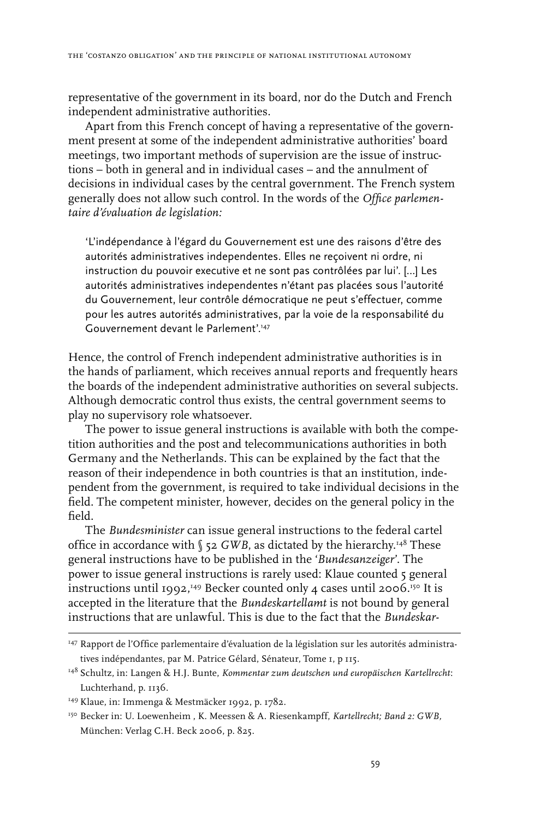representative of the government in its board, nor do the Dutch and French independent administrative authorities.

Apart from this French concept of having a representative of the government present at some of the independent administrative authorities' board meetings, two important methods of supervision are the issue of instructions – both in general and in individual cases – and the annulment of decisions in individual cases by the central government. The French system generally does not allow such control. In the words of the *Office parlementaire d'évaluation de legislation:*

'L'indépendance à l'égard du Gouvernement est une des raisons d'être des autorités administratives independentes. Elles ne reçoivent ni ordre, ni instruction du pouvoir executive et ne sont pas contrôlées par lui'. […] Les autorités administratives independentes n'étant pas placées sous l'autorité du Gouvernement, leur contrôle démocratique ne peut s'effectuer, comme pour les autres autorités administratives, par la voie de la responsabilité du Gouvernement devant le Parlement'.147

Hence, the control of French independent administrative authorities is in the hands of parliament, which receives annual reports and frequently hears the boards of the independent administrative authorities on several subjects. Although democratic control thus exists, the central government seems to play no supervisory role whatsoever.

The power to issue general instructions is available with both the competition authorities and the post and telecommunications authorities in both Germany and the Netherlands. This can be explained by the fact that the reason of their independence in both countries is that an institution, independent from the government, is required to take individual decisions in the field. The competent minister, however, decides on the general policy in the field.

The *Bundesminister* can issue general instructions to the federal cartel office in accordance with  $\S$  52 *GWB*, as dictated by the hierarchy.<sup>148</sup> These general instructions have to be published in the '*Bundesanzeiger*'. The power to issue general instructions is rarely used: Klaue counted 5 general instructions until 1992, 149 Becker counted only 4 cases until 2006. 150 It is accepted in the literature that the *Bundeskartellamt* is not bound by general instructions that are unlawful. This is due to the fact that the *Bundeskar-*

<sup>&</sup>lt;sup>147</sup> Rapport de l'Office parlementaire d'évaluation de la législation sur les autorités administratives indépendantes, par M. Patrice Gélard, Sénateur, Tome 1, p 115.

<sup>148</sup> Schultz, in: Langen & H.J. Bunte, *Kommentar zum deutschen und europäischen Kartellrecht*: Luchterhand, p. 1136.

<sup>149</sup> Klaue, in: Immenga & Mestmäcker 1992, p. 1782.

<sup>150</sup> Becker in: U. Loewenheim , K. Meessen & A. Riesenkampff, *Kartellrecht; Band 2: GWB,* München: Verlag C.H. Beck 2006, p. 825.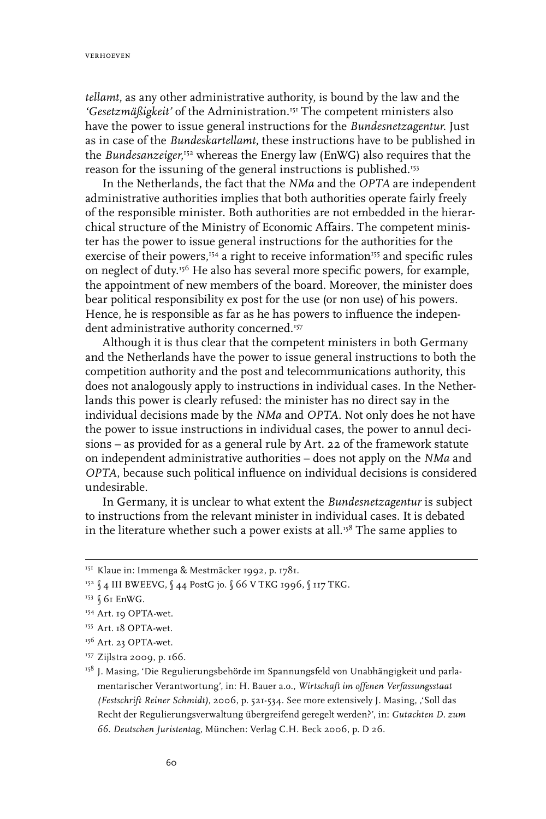*tellamt*, as any other administrative authority, is bound by the law and the 'Gesetzmäßigkeit' of the Administration.<sup>151</sup> The competent ministers also have the power to issue general instructions for the *Bundesnetzagentur*. Just as in case of the *Bundeskartellamt*, these instructions have to be published in the *Bundesanzeiger*,<sup>152</sup> whereas the Energy law (EnWG) also requires that the reason for the issuning of the general instructions is published.<sup>153</sup>

In the Netherlands, the fact that the *NMa* and the *OPTA* are independent administrative authorities implies that both authorities operate fairly freely of the responsible minister. Both authorities are not embedded in the hierarchical structure of the Ministry of Economic Affairs. The competent minister has the power to issue general instructions for the authorities for the exercise of their powers,<sup>154</sup> a right to receive information<sup>155</sup> and specific rules on neglect of duty.156 He also has several more specific powers, for example, the appointment of new members of the board. Moreover, the minister does bear political responsibility ex post for the use (or non use) of his powers. Hence, he is responsible as far as he has powers to influence the independent administrative authority concerned.<sup>157</sup>

Although it is thus clear that the competent ministers in both Germany and the Netherlands have the power to issue general instructions to both the competition authority and the post and telecommunications authority, this does not analogously apply to instructions in individual cases. In the Netherlands this power is clearly refused: the minister has no direct say in the individual decisions made by the *NMa* and *OPTA*. Not only does he not have the power to issue instructions in individual cases, the power to annul decisions – as provided for as a general rule by Art. 22 of the framework statute on independent administrative authorities – does not apply on the *NMa* and *OPTA*, because such political influence on individual decisions is considered undesirable.

In Germany, it is unclear to what extent the *Bundesnetzagentur* is subject to instructions from the relevant minister in individual cases. It is debated in the literature whether such a power exists at all.<sup>158</sup> The same applies to

<sup>&</sup>lt;sup>151</sup> Klaue in: Immenga & Mestmäcker 1992, p. 1781.

<sup>152 § 4</sup> III BWEEVG, § 44 PostG jo. § 66 V TKG 1996, § 117 TKG.

<sup>&</sup>lt;sup>153</sup> § 61 EnWG.

<sup>&</sup>lt;sup>154</sup> Art. 19 OPTA-wet.

<sup>155</sup> Art. 18 OPTA-wet.

<sup>&</sup>lt;sup>156</sup> Art. 23 OPTA-wet.

<sup>157</sup> Zijlstra 2009, p. 166.

<sup>&</sup>lt;sup>158</sup> J. Masing, 'Die Regulierungsbehörde im Spannungsfeld von Unabhängigkeit und parlamentarischer Verantwortung', in: H. Bauer a.o., *Wirtschaft im offenen Verfassungsstaat (Festschrift Reiner Schmidt),* 2006, p. 521-534. See more extensively J. Masing, ''Soll das Recht der Regulierungsverwaltung übergreifend geregelt werden?', in: *Gutachten D. zum 66. Deutschen Juristentag,* München: Verlag C.H. Beck 2006, p. D 26.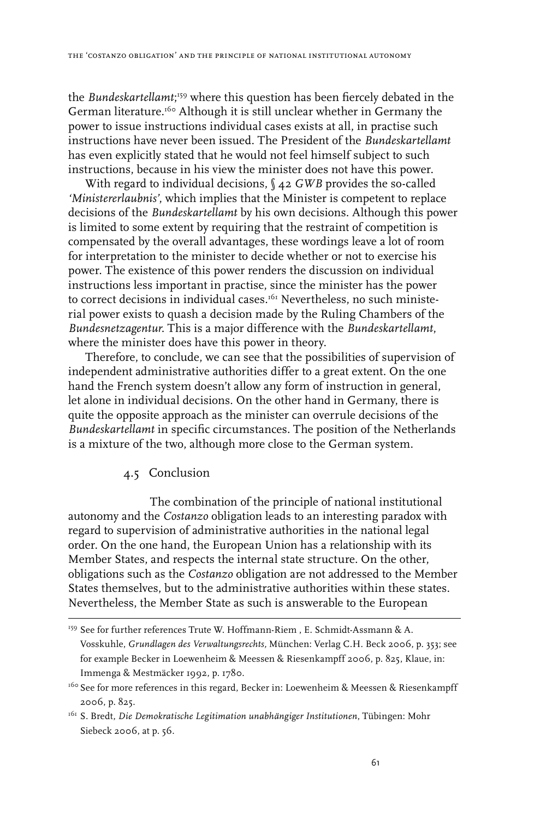the *Bundeskartellamt*; 159 where this question has been fiercely debated in the German literature.<sup>160</sup> Although it is still unclear whether in Germany the power to issue instructions individual cases exists at all, in practise such instructions have never been issued. The President of the *Bundeskartellamt* has even explicitly stated that he would not feel himself subject to such instructions, because in his view the minister does not have this power.

With regard to individual decisions, § 42 *GWB* provides the so-called *'Ministererlaubnis'*, which implies that the Minister is competent to replace decisions of the *Bundeskartellamt* by his own decisions. Although this power is limited to some extent by requiring that the restraint of competition is compensated by the overall advantages, these wordings leave a lot of room for interpretation to the minister to decide whether or not to exercise his power. The existence of this power renders the discussion on individual instructions less important in practise, since the minister has the power to correct decisions in individual cases.<sup>161</sup> Nevertheless, no such ministerial power exists to quash a decision made by the Ruling Chambers of the *Bundesnetzagentur*. This is a major difference with the *Bundeskartellamt*, where the minister does have this power in theory.

Therefore, to conclude, we can see that the possibilities of supervision of independent administrative authorities differ to a great extent. On the one hand the French system doesn't allow any form of instruction in general, let alone in individual decisions. On the other hand in Germany, there is quite the opposite approach as the minister can overrule decisions of the *Bundeskartellamt* in specific circumstances. The position of the Netherlands is a mixture of the two, although more close to the German system.

# 4.5 Conclusion

The combination of the principle of national institutional autonomy and the *Costanzo* obligation leads to an interesting paradox with regard to supervision of administrative authorities in the national legal order. On the one hand, the European Union has a relationship with its Member States, and respects the internal state structure. On the other, obligations such as the *Costanzo* obligation are not addressed to the Member States themselves, but to the administrative authorities within these states. Nevertheless, the Member State as such is answerable to the European

<sup>&</sup>lt;sup>159</sup> See for further references Trute W. Hoffmann-Riem , E. Schmidt-Assmann & A. Vosskuhle, *Grundlagen des Verwaltungsrechts,* München: Verlag C.H. Beck 2006, p. 353; see for example Becker in Loewenheim & Meessen & Riesenkampff 2006, p. 825, Klaue, in: Immenga & Mestmäcker 1992, p. 1780.

<sup>&</sup>lt;sup>160</sup> See for more references in this regard, Becker in: Loewenheim & Meessen & Riesenkampff 2006, p. 825.

<sup>161</sup> S. Bredt, *Die Demokratische Legitimation unabhängiger Institutionen*, Tübingen: Mohr Siebeck 2006, at p. 56.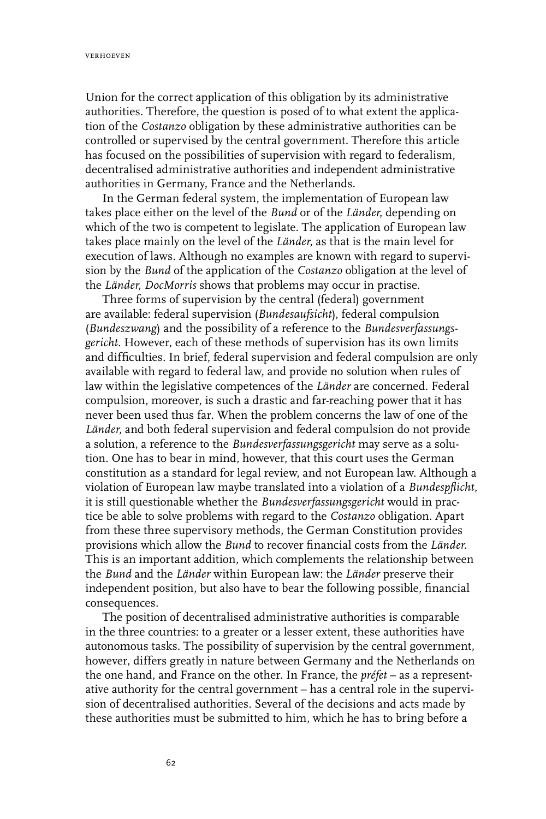Union for the correct application of this obligation by its administrative authorities. Therefore, the question is posed of to what extent the application of the *Costanzo* obligation by these administrative authorities can be controlled or supervised by the central government. Therefore this article has focused on the possibilities of supervision with regard to federalism, decentralised administrative authorities and independent administrative authorities in Germany, France and the Netherlands.

In the German federal system, the implementation of European law takes place either on the level of the *Bund* or of the *Länder*, depending on which of the two is competent to legislate. The application of European law takes place mainly on the level of the *Länder*, as that is the main level for execution of laws. Although no examples are known with regard to supervision by the *Bund* of the application of the *Costanzo* obligation at the level of the *Länder*, *DocMorris* shows that problems may occur in practise.

Three forms of supervision by the central (federal) government are available: federal supervision (*Bundesaufsicht*), federal compulsion (*Bundeszwang*) and the possibility of a reference to the *Bundesverfassungsgericht*. However, each of these methods of supervision has its own limits and difficulties. In brief, federal supervision and federal compulsion are only available with regard to federal law, and provide no solution when rules of law within the legislative competences of the *Länder* are concerned. Federal compulsion, moreover, is such a drastic and far-reaching power that it has never been used thus far. When the problem concerns the law of one of the *Länder*, and both federal supervision and federal compulsion do not provide a solution, a reference to the *Bundesverfassungsgericht* may serve as a solution. One has to bear in mind, however, that this court uses the German constitution as a standard for legal review, and not European law. Although a violation of European law maybe translated into a violation of a *Bundespflicht*, it is still questionable whether the *Bundesverfassungsgericht* would in practice be able to solve problems with regard to the *Costanzo* obligation. Apart from these three supervisory methods, the German Constitution provides provisions which allow the *Bund* to recover financial costs from the *Länder*. This is an important addition, which complements the relationship between the *Bund* and the *Länder* within European law: the *Länder* preserve their independent position, but also have to bear the following possible, financial consequences.

The position of decentralised administrative authorities is comparable in the three countries: to a greater or a lesser extent, these authorities have autonomous tasks. The possibility of supervision by the central government, however, differs greatly in nature between Germany and the Netherlands on the one hand, and France on the other. In France, the *préfet* – as a representative authority for the central government – has a central role in the supervision of decentralised authorities. Several of the decisions and acts made by these authorities must be submitted to him, which he has to bring before a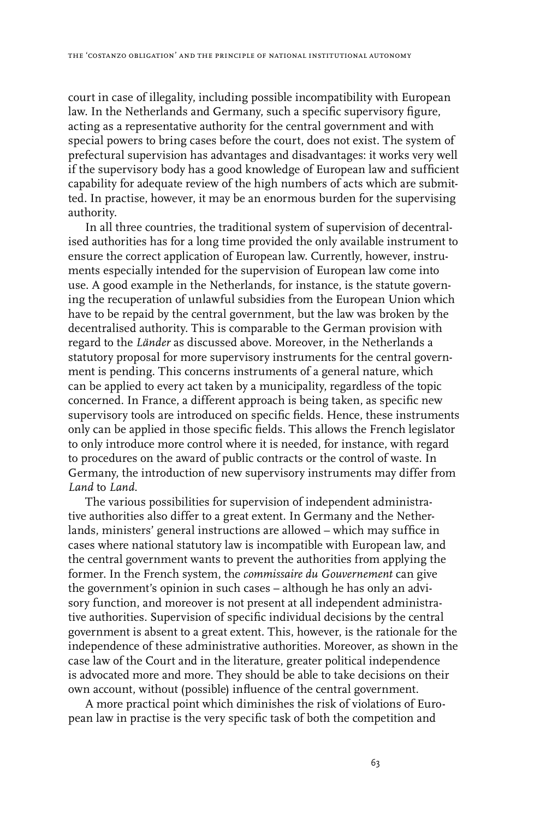court in case of illegality, including possible incompatibility with European law. In the Netherlands and Germany, such a specific supervisory figure, acting as a representative authority for the central government and with special powers to bring cases before the court, does not exist. The system of prefectural supervision has advantages and disadvantages: it works very well if the supervisory body has a good knowledge of European law and sufficient capability for adequate review of the high numbers of acts which are submitted. In practise, however, it may be an enormous burden for the supervising authority.

In all three countries, the traditional system of supervision of decentralised authorities has for a long time provided the only available instrument to ensure the correct application of European law. Currently, however, instruments especially intended for the supervision of European law come into use. A good example in the Netherlands, for instance, is the statute governing the recuperation of unlawful subsidies from the European Union which have to be repaid by the central government, but the law was broken by the decentralised authority. This is comparable to the German provision with regard to the *Länder* as discussed above. Moreover, in the Netherlands a statutory proposal for more supervisory instruments for the central government is pending. This concerns instruments of a general nature, which can be applied to every act taken by a municipality, regardless of the topic concerned. In France, a different approach is being taken, as specific new supervisory tools are introduced on specific fields. Hence, these instruments only can be applied in those specific fields. This allows the French legislator to only introduce more control where it is needed, for instance, with regard to procedures on the award of public contracts or the control of waste. In Germany, the introduction of new supervisory instruments may differ from *Land* to *Land*.

The various possibilities for supervision of independent administrative authorities also differ to a great extent. In Germany and the Netherlands, ministers' general instructions are allowed – which may suffice in cases where national statutory law is incompatible with European law, and the central government wants to prevent the authorities from applying the former. In the French system, the *commissaire du Gouvernement* can give the government's opinion in such cases – although he has only an advisory function, and moreover is not present at all independent administrative authorities. Supervision of specific individual decisions by the central government is absent to a great extent. This, however, is the rationale for the independence of these administrative authorities. Moreover, as shown in the case law of the Court and in the literature, greater political independence is advocated more and more. They should be able to take decisions on their own account, without (possible) influence of the central government.

A more practical point which diminishes the risk of violations of European law in practise is the very specific task of both the competition and